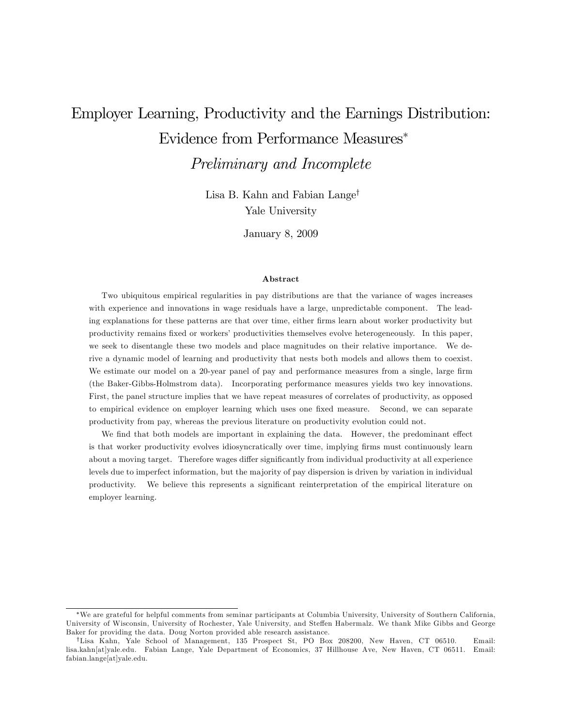# Employer Learning, Productivity and the Earnings Distribution: Evidence from Performance Measures

Preliminary and Incomplete

Lisa B. Kahn and Fabian Lange<sup>†</sup> Yale University

January 8, 2009

#### Abstract

Two ubiquitous empirical regularities in pay distributions are that the variance of wages increases with experience and innovations in wage residuals have a large, unpredictable component. The leading explanations for these patterns are that over time, either firms learn about worker productivity but productivity remains fixed or workers' productivities themselves evolve heterogeneously. In this paper, we seek to disentangle these two models and place magnitudes on their relative importance. We derive a dynamic model of learning and productivity that nests both models and allows them to coexist. We estimate our model on a 20-year panel of pay and performance measures from a single, large firm (the Baker-Gibbs-Holmstrom data). Incorporating performance measures yields two key innovations. First, the panel structure implies that we have repeat measures of correlates of productivity, as opposed to empirical evidence on employer learning which uses one fixed measure. Second, we can separate productivity from pay, whereas the previous literature on productivity evolution could not.

We find that both models are important in explaining the data. However, the predominant effect is that worker productivity evolves idiosyncratically over time, implying firms must continuously learn about a moving target. Therefore wages differ significantly from individual productivity at all experience levels due to imperfect information, but the majority of pay dispersion is driven by variation in individual productivity. We believe this represents a signiÖcant reinterpretation of the empirical literature on employer learning.

We are grateful for helpful comments from seminar participants at Columbia University, University of Southern California, University of Wisconsin, University of Rochester, Yale University, and Steffen Habermalz. We thank Mike Gibbs and George Baker for providing the data. Doug Norton provided able research assistance.

yLisa Kahn, Yale School of Management, 135 Prospect St, PO Box 208200, New Haven, CT 06510. Email: lisa.kahn[at]yale.edu. Fabian Lange, Yale Department of Economics, 37 Hillhouse Ave, New Haven, CT 06511. Email: fabian.lange[at]yale.edu.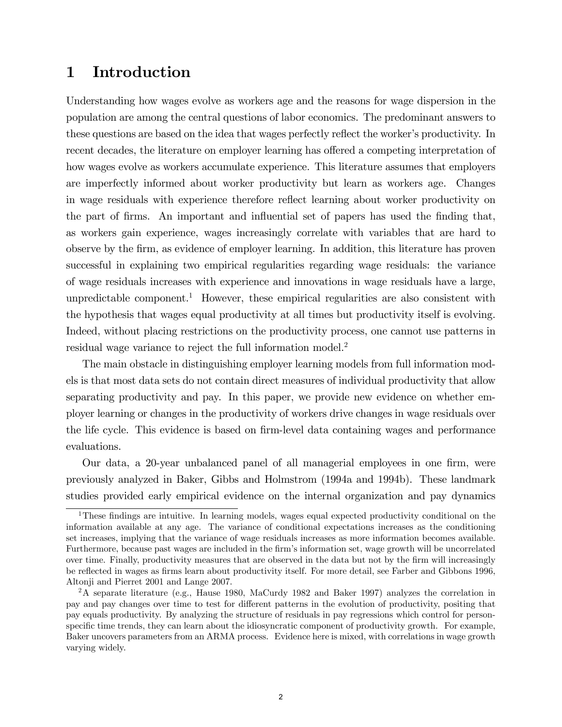## 1 Introduction

Understanding how wages evolve as workers age and the reasons for wage dispersion in the population are among the central questions of labor economics. The predominant answers to these questions are based on the idea that wages perfectly reflect the worker's productivity. In recent decades, the literature on employer learning has offered a competing interpretation of how wages evolve as workers accumulate experience. This literature assumes that employers are imperfectly informed about worker productivity but learn as workers age. Changes in wage residuals with experience therefore reflect learning about worker productivity on the part of firms. An important and influential set of papers has used the finding that, as workers gain experience, wages increasingly correlate with variables that are hard to observe by the Örm, as evidence of employer learning. In addition, this literature has proven successful in explaining two empirical regularities regarding wage residuals: the variance of wage residuals increases with experience and innovations in wage residuals have a large, unpredictable component.<sup>1</sup> However, these empirical regularities are also consistent with the hypothesis that wages equal productivity at all times but productivity itself is evolving. Indeed, without placing restrictions on the productivity process, one cannot use patterns in residual wage variance to reject the full information model.<sup>2</sup>

The main obstacle in distinguishing employer learning models from full information models is that most data sets do not contain direct measures of individual productivity that allow separating productivity and pay. In this paper, we provide new evidence on whether employer learning or changes in the productivity of workers drive changes in wage residuals over the life cycle. This evidence is based on firm-level data containing wages and performance evaluations.

Our data, a 20-year unbalanced panel of all managerial employees in one Örm, were previously analyzed in Baker, Gibbs and Holmstrom (1994a and 1994b). These landmark studies provided early empirical evidence on the internal organization and pay dynamics

<sup>&</sup>lt;sup>1</sup>These findings are intuitive. In learning models, wages equal expected productivity conditional on the information available at any age. The variance of conditional expectations increases as the conditioning set increases, implying that the variance of wage residuals increases as more information becomes available. Furthermore, because past wages are included in the firm's information set, wage growth will be uncorrelated over time. Finally, productivity measures that are observed in the data but not by the firm will increasingly be reflected in wages as firms learn about productivity itself. For more detail, see Farber and Gibbons 1996, Altonji and Pierret 2001 and Lange 2007.

<sup>&</sup>lt;sup>2</sup>A separate literature (e.g., Hause 1980, MaCurdy 1982 and Baker 1997) analyzes the correlation in pay and pay changes over time to test for different patterns in the evolution of productivity, positing that pay equals productivity. By analyzing the structure of residuals in pay regressions which control for personspecific time trends, they can learn about the idiosyncratic component of productivity growth. For example, Baker uncovers parameters from an ARMA process. Evidence here is mixed, with correlations in wage growth varying widely.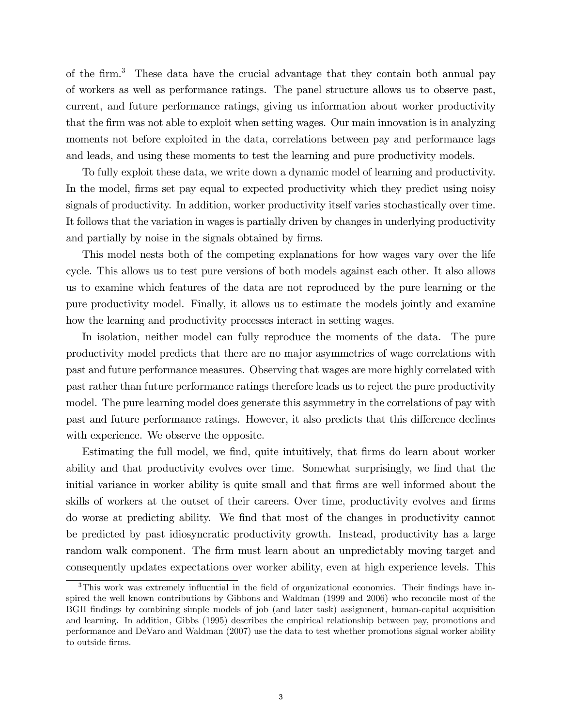of the firm.<sup>3</sup> These data have the crucial advantage that they contain both annual pay of workers as well as performance ratings. The panel structure allows us to observe past, current, and future performance ratings, giving us information about worker productivity that the Örm was not able to exploit when setting wages. Our main innovation is in analyzing moments not before exploited in the data, correlations between pay and performance lags and leads, and using these moments to test the learning and pure productivity models.

To fully exploit these data, we write down a dynamic model of learning and productivity. In the model, firms set pay equal to expected productivity which they predict using noisy signals of productivity. In addition, worker productivity itself varies stochastically over time. It follows that the variation in wages is partially driven by changes in underlying productivity and partially by noise in the signals obtained by firms.

This model nests both of the competing explanations for how wages vary over the life cycle. This allows us to test pure versions of both models against each other. It also allows us to examine which features of the data are not reproduced by the pure learning or the pure productivity model. Finally, it allows us to estimate the models jointly and examine how the learning and productivity processes interact in setting wages.

In isolation, neither model can fully reproduce the moments of the data. The pure productivity model predicts that there are no major asymmetries of wage correlations with past and future performance measures. Observing that wages are more highly correlated with past rather than future performance ratings therefore leads us to reject the pure productivity model. The pure learning model does generate this asymmetry in the correlations of pay with past and future performance ratings. However, it also predicts that this difference declines with experience. We observe the opposite.

Estimating the full model, we find, quite intuitively, that firms do learn about worker ability and that productivity evolves over time. Somewhat surprisingly, we find that the initial variance in worker ability is quite small and that firms are well informed about the skills of workers at the outset of their careers. Over time, productivity evolves and firms do worse at predicting ability. We Önd that most of the changes in productivity cannot be predicted by past idiosyncratic productivity growth. Instead, productivity has a large random walk component. The firm must learn about an unpredictably moving target and consequently updates expectations over worker ability, even at high experience levels. This

 $3$ This work was extremely influential in the field of organizational economics. Their findings have inspired the well known contributions by Gibbons and Waldman (1999 and 2006) who reconcile most of the BGH Öndings by combining simple models of job (and later task) assignment, human-capital acquisition and learning. In addition, Gibbs (1995) describes the empirical relationship between pay, promotions and performance and DeVaro and Waldman (2007) use the data to test whether promotions signal worker ability to outside firms.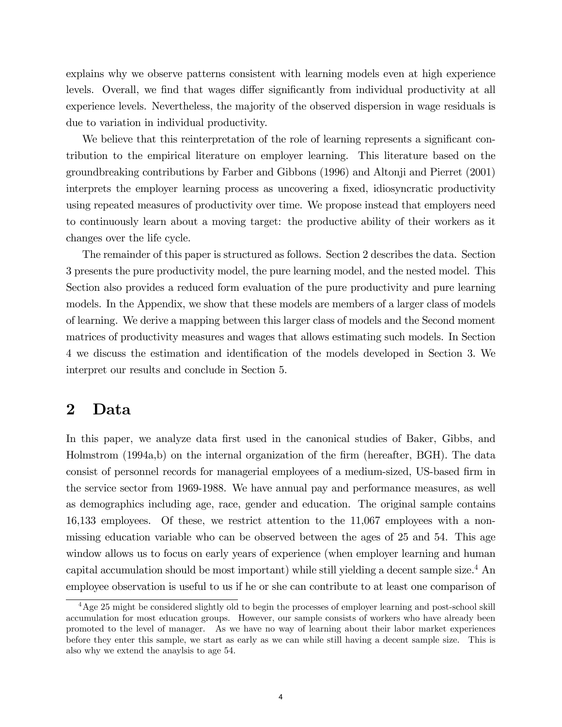explains why we observe patterns consistent with learning models even at high experience levels. Overall, we find that wages differ significantly from individual productivity at all experience levels. Nevertheless, the majority of the observed dispersion in wage residuals is due to variation in individual productivity.

We believe that this reinterpretation of the role of learning represents a significant contribution to the empirical literature on employer learning. This literature based on the groundbreaking contributions by Farber and Gibbons (1996) and Altonji and Pierret (2001) interprets the employer learning process as uncovering a fixed, idiosyncratic productivity using repeated measures of productivity over time. We propose instead that employers need to continuously learn about a moving target: the productive ability of their workers as it changes over the life cycle.

The remainder of this paper is structured as follows. Section 2 describes the data. Section 3 presents the pure productivity model, the pure learning model, and the nested model. This Section also provides a reduced form evaluation of the pure productivity and pure learning models. In the Appendix, we show that these models are members of a larger class of models of learning. We derive a mapping between this larger class of models and the Second moment matrices of productivity measures and wages that allows estimating such models. In Section 4 we discuss the estimation and identification of the models developed in Section 3. We interpret our results and conclude in Section 5.

## 2 Data

In this paper, we analyze data first used in the canonical studies of Baker, Gibbs, and Holmstrom (1994a,b) on the internal organization of the firm (hereafter, BGH). The data consist of personnel records for managerial employees of a medium-sized, US-based firm in the service sector from 1969-1988. We have annual pay and performance measures, as well as demographics including age, race, gender and education. The original sample contains 16,133 employees. Of these, we restrict attention to the 11,067 employees with a nonmissing education variable who can be observed between the ages of 25 and 54. This age window allows us to focus on early years of experience (when employer learning and human capital accumulation should be most important) while still yielding a decent sample size.<sup>4</sup> An employee observation is useful to us if he or she can contribute to at least one comparison of

 $4\text{Age }25$  might be considered slightly old to begin the processes of employer learning and post-school skill accumulation for most education groups. However, our sample consists of workers who have already been promoted to the level of manager. As we have no way of learning about their labor market experiences before they enter this sample, we start as early as we can while still having a decent sample size. This is also why we extend the anaylsis to age 54.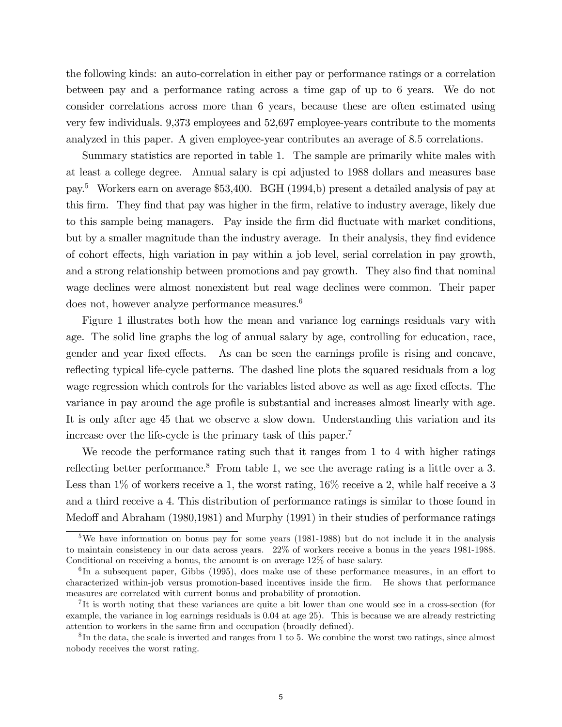the following kinds: an auto-correlation in either pay or performance ratings or a correlation between pay and a performance rating across a time gap of up to 6 years. We do not consider correlations across more than 6 years, because these are often estimated using very few individuals. 9,373 employees and 52,697 employee-years contribute to the moments analyzed in this paper. A given employee-year contributes an average of 8:5 correlations.

Summary statistics are reported in table 1. The sample are primarily white males with at least a college degree. Annual salary is cpi adjusted to 1988 dollars and measures base pay.<sup>5</sup> Workers earn on average \$53,400. BGH (1994,b) present a detailed analysis of pay at this Örm. They Önd that pay was higher in the Örm, relative to industry average, likely due to this sample being managers. Pay inside the firm did fluctuate with market conditions, but by a smaller magnitude than the industry average. In their analysis, they find evidence of cohort effects, high variation in pay within a job level, serial correlation in pay growth, and a strong relationship between promotions and pay growth. They also find that nominal wage declines were almost nonexistent but real wage declines were common. Their paper does not, however analyze performance measures.<sup>6</sup>

Figure 1 illustrates both how the mean and variance log earnings residuals vary with age. The solid line graphs the log of annual salary by age, controlling for education, race, gender and year fixed effects. As can be seen the earnings profile is rising and concave, reflecting typical life-cycle patterns. The dashed line plots the squared residuals from a log wage regression which controls for the variables listed above as well as age fixed effects. The variance in pay around the age profile is substantial and increases almost linearly with age. It is only after age 45 that we observe a slow down. Understanding this variation and its increase over the life-cycle is the primary task of this paper.<sup>7</sup>

We recode the performance rating such that it ranges from 1 to 4 with higher ratings reflecting better performance.<sup>8</sup> From table 1, we see the average rating is a little over a 3. Less than  $1\%$  of workers receive a 1, the worst rating,  $16\%$  receive a 2, while half receive a 3 and a third receive a 4. This distribution of performance ratings is similar to those found in Medoff and Abraham (1980,1981) and Murphy (1991) in their studies of performance ratings

 $5$ We have information on bonus pay for some years (1981-1988) but do not include it in the analysis to maintain consistency in our data across years. 22% of workers receive a bonus in the years 1981-1988. Conditional on receiving a bonus, the amount is on average 12% of base salary.

 ${}^{6}$ In a subsequent paper, Gibbs (1995), does make use of these performance measures, in an effort to characterized within-job versus promotion-based incentives inside the Örm. He shows that performance measures are correlated with current bonus and probability of promotion.

<sup>&</sup>lt;sup>7</sup>It is worth noting that these variances are quite a bit lower than one would see in a cross-section (for example, the variance in log earnings residuals is 0.04 at age 25). This is because we are already restricting attention to workers in the same firm and occupation (broadly defined).

 ${}^{8}$ In the data, the scale is inverted and ranges from 1 to 5. We combine the worst two ratings, since almost nobody receives the worst rating.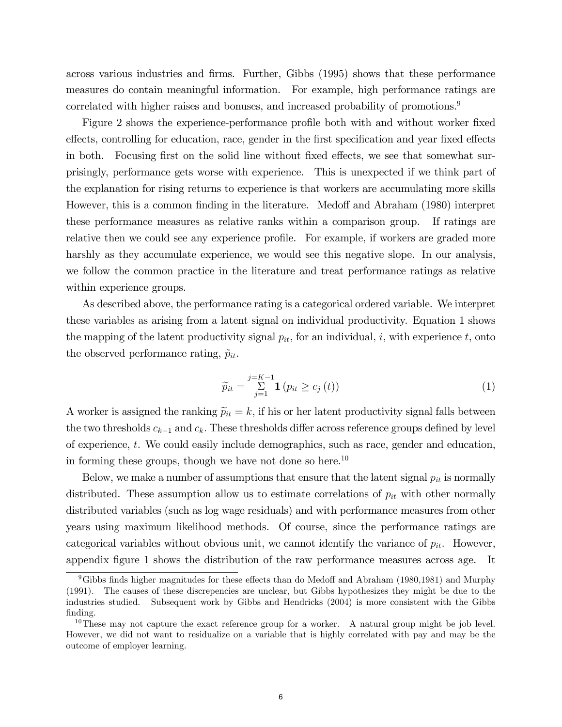across various industries and firms. Further, Gibbs (1995) shows that these performance measures do contain meaningful information. For example, high performance ratings are correlated with higher raises and bonuses, and increased probability of promotions.<sup>9</sup>

Figure 2 shows the experience-performance profile both with and without worker fixed effects, controlling for education, race, gender in the first specification and year fixed effects in both. Focusing first on the solid line without fixed effects, we see that somewhat surprisingly, performance gets worse with experience. This is unexpected if we think part of the explanation for rising returns to experience is that workers are accumulating more skills However, this is a common finding in the literature. Medoff and Abraham (1980) interpret these performance measures as relative ranks within a comparison group. If ratings are relative then we could see any experience profile. For example, if workers are graded more harshly as they accumulate experience, we would see this negative slope. In our analysis, we follow the common practice in the literature and treat performance ratings as relative within experience groups.

As described above, the performance rating is a categorical ordered variable. We interpret these variables as arising from a latent signal on individual productivity. Equation 1 shows the mapping of the latent productivity signal  $p_{it}$ , for an individual, i, with experience t, onto the observed performance rating,  $\tilde{p}_{it}$ .

$$
\widetilde{p}_{it} = \sum_{j=1}^{j=K-1} \mathbf{1} \left( p_{it} \ge c_j \left( t \right) \right) \tag{1}
$$

A worker is assigned the ranking  $\tilde{p}_{it} = k$ , if his or her latent productivity signal falls between the two thresholds  $c_{k-1}$  and  $c_k$ . These thresholds differ across reference groups defined by level of experience, t. We could easily include demographics, such as race, gender and education, in forming these groups, though we have not done so here.<sup>10</sup>

Below, we make a number of assumptions that ensure that the latent signal  $p_{it}$  is normally distributed. These assumption allow us to estimate correlations of  $p_{it}$  with other normally distributed variables (such as log wage residuals) and with performance measures from other years using maximum likelihood methods. Of course, since the performance ratings are categorical variables without obvious unit, we cannot identify the variance of  $p_{it}$ . However, appendix figure 1 shows the distribution of the raw performance measures across age. It

 $9$ Gibbs finds higher magnitudes for these effects than do Medoff and Abraham (1980,1981) and Murphy (1991). The causes of these discrepencies are unclear, but Gibbs hypothesizes they might be due to the industries studied. Subsequent work by Gibbs and Hendricks (2004) is more consistent with the Gibbs finding.

<sup>&</sup>lt;sup>10</sup>These may not capture the exact reference group for a worker. A natural group might be job level. However, we did not want to residualize on a variable that is highly correlated with pay and may be the outcome of employer learning.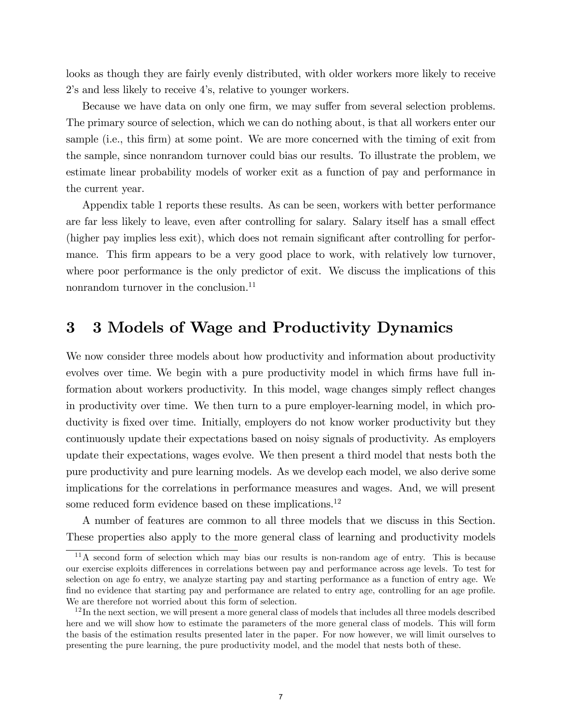looks as though they are fairly evenly distributed, with older workers more likely to receive 2ís and less likely to receive 4ís, relative to younger workers.

Because we have data on only one firm, we may suffer from several selection problems. The primary source of selection, which we can do nothing about, is that all workers enter our sample (i.e., this firm) at some point. We are more concerned with the timing of exit from the sample, since nonrandom turnover could bias our results. To illustrate the problem, we estimate linear probability models of worker exit as a function of pay and performance in the current year.

Appendix table 1 reports these results. As can be seen, workers with better performance are far less likely to leave, even after controlling for salary. Salary itself has a small effect (higher pay implies less exit), which does not remain significant after controlling for performance. This firm appears to be a very good place to work, with relatively low turnover, where poor performance is the only predictor of exit. We discuss the implications of this nonrandom turnover in the conclusion.<sup>11</sup>

## 3 3 Models of Wage and Productivity Dynamics

We now consider three models about how productivity and information about productivity evolves over time. We begin with a pure productivity model in which firms have full information about workers productivity. In this model, wage changes simply reflect changes in productivity over time. We then turn to a pure employer-learning model, in which productivity is fixed over time. Initially, employers do not know worker productivity but they continuously update their expectations based on noisy signals of productivity. As employers update their expectations, wages evolve. We then present a third model that nests both the pure productivity and pure learning models. As we develop each model, we also derive some implications for the correlations in performance measures and wages. And, we will present some reduced form evidence based on these implications.<sup>12</sup>

A number of features are common to all three models that we discuss in this Section. These properties also apply to the more general class of learning and productivity models

 $11$ A second form of selection which may bias our results is non-random age of entry. This is because our exercise exploits differences in correlations between pay and performance across age levels. To test for selection on age fo entry, we analyze starting pay and starting performance as a function of entry age. We find no evidence that starting pay and performance are related to entry age, controlling for an age profile. We are therefore not worried about this form of selection.

<sup>&</sup>lt;sup>12</sup>In the next section, we will present a more general class of models that includes all three models described here and we will show how to estimate the parameters of the more general class of models. This will form the basis of the estimation results presented later in the paper. For now however, we will limit ourselves to presenting the pure learning, the pure productivity model, and the model that nests both of these.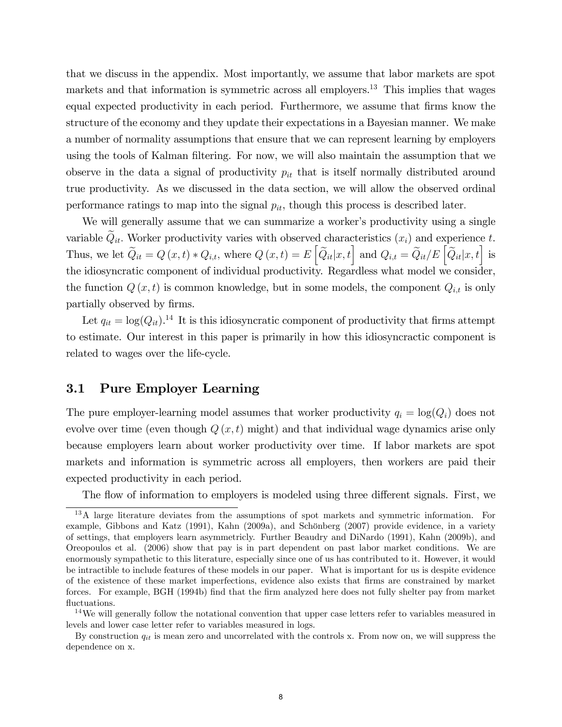that we discuss in the appendix. Most importantly, we assume that labor markets are spot markets and that information is symmetric across all employers.<sup>13</sup> This implies that wages equal expected productivity in each period. Furthermore, we assume that firms know the structure of the economy and they update their expectations in a Bayesian manner. We make a number of normality assumptions that ensure that we can represent learning by employers using the tools of Kalman filtering. For now, we will also maintain the assumption that we observe in the data a signal of productivity  $p_{it}$  that is itself normally distributed around true productivity. As we discussed in the data section, we will allow the observed ordinal performance ratings to map into the signal  $p_{it}$ , though this process is described later.

We will generally assume that we can summarize a worker's productivity using a single variable  $\tilde{Q}_{it}$ . Worker productivity varies with observed characteristics  $(x_i)$  and experience t. Thus, we let  $\widetilde{Q}_{it} = Q(x, t) * Q_{i,t}$ , where  $Q(x, t) = E\left[\widetilde{Q}_{it}|x, t\right]$  and  $Q_{i,t} = \widetilde{Q}_{it}/E\left[\widetilde{Q}_{it}|x, t\right]$  is the idiosyncratic component of individual productivity. Regardless what model we consider, the function  $Q(x, t)$  is common knowledge, but in some models, the component  $Q_{i,t}$  is only partially observed by firms.

Let  $q_{it} = \log(Q_{it})$ .<sup>14</sup> It is this idiosyncratic component of productivity that firms attempt to estimate. Our interest in this paper is primarily in how this idiosyncractic component is related to wages over the life-cycle.

## 3.1 Pure Employer Learning

The pure employer-learning model assumes that worker productivity  $q_i = \log(Q_i)$  does not evolve over time (even though  $Q(x, t)$  might) and that individual wage dynamics arise only because employers learn about worker productivity over time. If labor markets are spot markets and information is symmetric across all employers, then workers are paid their expected productivity in each period.

The flow of information to employers is modeled using three different signals. First, we

<sup>13</sup>A large literature deviates from the assumptions of spot markets and symmetric information. For example, Gibbons and Katz (1991), Kahn (2009a), and Schönberg (2007) provide evidence, in a variety of settings, that employers learn asymmetricly. Further Beaudry and DiNardo (1991), Kahn (2009b), and Oreopoulos et al. (2006) show that pay is in part dependent on past labor market conditions. We are enormously sympathetic to this literature, especially since one of us has contributed to it. However, it would be intractible to include features of these models in our paper. What is important for us is despite evidence of the existence of these market imperfections, evidence also exists that Örms are constrained by market forces. For example, BGH (1994b) find that the firm analyzed here does not fully shelter pay from market fluctuations.

<sup>&</sup>lt;sup>14</sup>We will generally follow the notational convention that upper case letters refer to variables measured in levels and lower case letter refer to variables measured in logs.

By construction  $q_{it}$  is mean zero and uncorrelated with the controls x. From now on, we will suppress the dependence on x.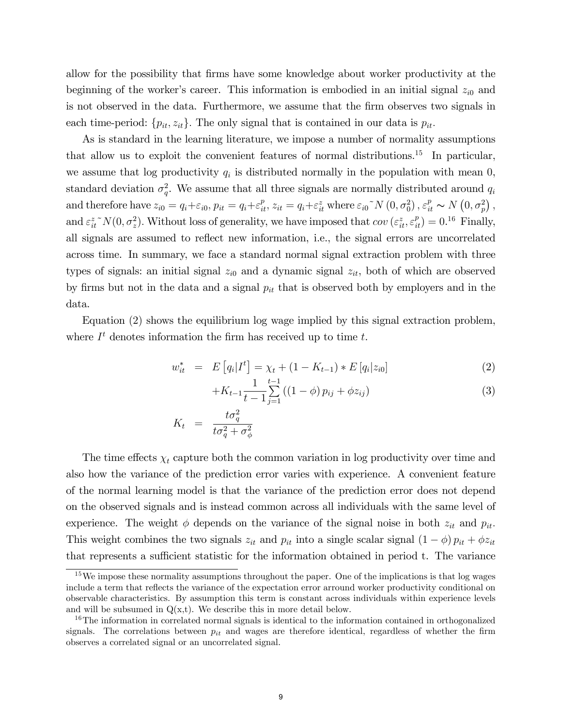allow for the possibility that firms have some knowledge about worker productivity at the beginning of the worker's career. This information is embodied in an initial signal  $z_{i0}$  and is not observed in the data. Furthermore, we assume that the Örm observes two signals in each time-period:  $\{p_{it}, z_{it}\}$ . The only signal that is contained in our data is  $p_{it}$ .

As is standard in the learning literature, we impose a number of normality assumptions that allow us to exploit the convenient features of normal distributions.<sup>15</sup> In particular, we assume that log productivity  $q_i$  is distributed normally in the population with mean 0, standard deviation  $\sigma_q^2$ . We assume that all three signals are normally distributed around  $q_i$ and therefore have  $z_{i0} = q_i + \varepsilon_{i0}$ ,  $p_{it} = q_i + \varepsilon_{it}^p$ ,  $z_{it} = q_i + \varepsilon_{it}^z$  where  $\varepsilon_{i0}^{\sim} N(0, \sigma_0^2)$ ,  $\varepsilon_{it}^p \sim N(0, \sigma_p^2)$ , and  $\varepsilon_{it}^{z} N(0, \sigma_z^2)$ . Without loss of generality, we have imposed that  $cov(\varepsilon_{it}^{z}, \varepsilon_{it}^{p}) = 0$ .<sup>16</sup> Finally, all signals are assumed to reflect new information, i.e., the signal errors are uncorrelated across time. In summary, we face a standard normal signal extraction problem with three types of signals: an initial signal  $z_{i0}$  and a dynamic signal  $z_{it}$ , both of which are observed by firms but not in the data and a signal  $p_{it}$  that is observed both by employers and in the data.

Equation (2) shows the equilibrium log wage implied by this signal extraction problem, where  $I<sup>t</sup>$  denotes information the firm has received up to time t.

$$
w_{it}^{*} = E\left[q_{i}|I^{t}\right] = \chi_{t} + (1 - K_{t-1}) * E\left[q_{i}|z_{i0}\right]
$$
\n
$$
1 \quad t-1 \tag{2}
$$

$$
+K_{t-1}\frac{1}{t-1}\sum_{j=1}^{t-1}\left(\left(1-\phi\right)p_{ij}+\phi z_{ij}\right)
$$
\n(3)

$$
K_t = \frac{t\sigma_q^2}{t\sigma_q^2 + \sigma_\phi^2}
$$

The time effects  $\chi_t$  capture both the common variation in log productivity over time and also how the variance of the prediction error varies with experience. A convenient feature of the normal learning model is that the variance of the prediction error does not depend on the observed signals and is instead common across all individuals with the same level of experience. The weight  $\phi$  depends on the variance of the signal noise in both  $z_{it}$  and  $p_{it}$ . This weight combines the two signals  $z_{it}$  and  $p_{it}$  into a single scalar signal  $(1 - \phi) p_{it} + \phi z_{it}$ that represents a sufficient statistic for the information obtained in period t. The variance

<sup>&</sup>lt;sup>15</sup>We impose these normality assumptions throughout the paper. One of the implications is that log wages include a term that reflects the variance of the expectation error arround worker productivity conditional on observable characteristics. By assumption this term is constant across individuals within experience levels and will be subsumed in  $Q(x,t)$ . We describe this in more detail below.

<sup>&</sup>lt;sup>16</sup>The information in correlated normal signals is identical to the information contained in orthogonalized signals. The correlations between  $p_{it}$  and wages are therefore identical, regardless of whether the firm observes a correlated signal or an uncorrelated signal.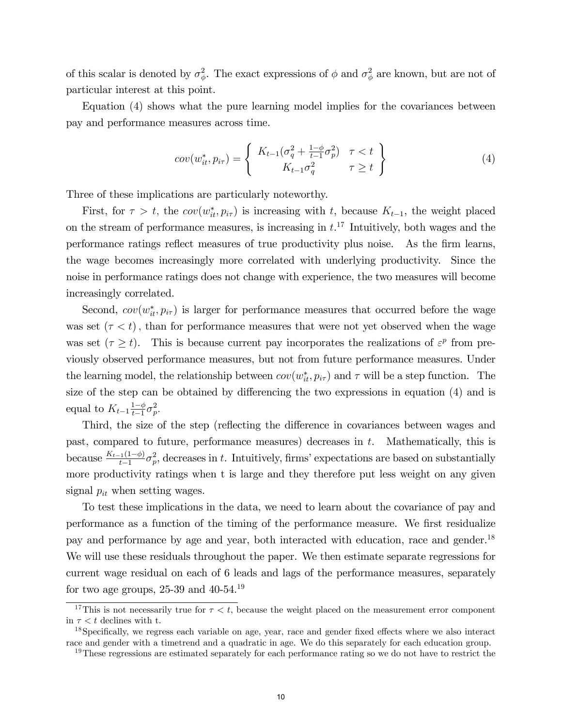of this scalar is denoted by  $\sigma_{\phi}^2$ . The exact expressions of  $\phi$  and  $\sigma_{\phi}^2$  are known, but are not of particular interest at this point.

Equation (4) shows what the pure learning model implies for the covariances between pay and performance measures across time.

$$
cov(w_{it}^*, p_{i\tau}) = \begin{cases} K_{t-1}(\sigma_q^2 + \frac{1-\phi}{t-1}\sigma_p^2) & \tau < t \\ K_{t-1}\sigma_q^2 & \tau \ge t \end{cases}
$$
 (4)

Three of these implications are particularly noteworthy.

First, for  $\tau > t$ , the  $cov(w_{it}^*, p_{i\tau})$  is increasing with t, because  $K_{t-1}$ , the weight placed on the stream of performance measures, is increasing in  $t$ .<sup>17</sup> Intuitively, both wages and the performance ratings reflect measures of true productivity plus noise. As the firm learns, the wage becomes increasingly more correlated with underlying productivity. Since the noise in performance ratings does not change with experience, the two measures will become increasingly correlated.

Second,  $cov(w_{it}^*, p_{i\tau})$  is larger for performance measures that occurred before the wage was set  $(\tau < t)$ , than for performance measures that were not yet observed when the wage was set  $(\tau \geq t)$ . This is because current pay incorporates the realizations of  $\varepsilon^p$  from previously observed performance measures, but not from future performance measures. Under the learning model, the relationship between  $cov(w_{it}^*, p_{i\tau})$  and  $\tau$  will be a step function. The size of the step can be obtained by differencing the two expressions in equation  $(4)$  and is equal to  $K_{t-1} \frac{1-\phi}{t-1}$  $rac{1-\phi}{t-1}\sigma_p^2$ .

Third, the size of the step (reflecting the difference in covariances between wages and past, compared to future, performance measures) decreases in  $t$ . Mathematically, this is because  $\frac{K_{t-1}(1-\phi)}{t-1}\sigma_p^2$ , decreases in t. Intuitively, firms' expectations are based on substantially more productivity ratings when t is large and they therefore put less weight on any given signal  $p_{it}$  when setting wages.

To test these implications in the data, we need to learn about the covariance of pay and performance as a function of the timing of the performance measure. We first residualize pay and performance by age and year, both interacted with education, race and gender.<sup>18</sup> We will use these residuals throughout the paper. We then estimate separate regressions for current wage residual on each of 6 leads and lags of the performance measures, separately for two age groups,  $25-39$  and  $40-54$ .<sup>19</sup>

<sup>&</sup>lt;sup>17</sup>This is not necessarily true for  $\tau < t$ , because the weight placed on the measurement error component in  $\tau < t$  declines with t.

 $18$ Specifically, we regress each variable on age, year, race and gender fixed effects where we also interact race and gender with a timetrend and a quadratic in age. We do this separately for each education group.

<sup>&</sup>lt;sup>19</sup>These regressions are estimated separately for each performance rating so we do not have to restrict the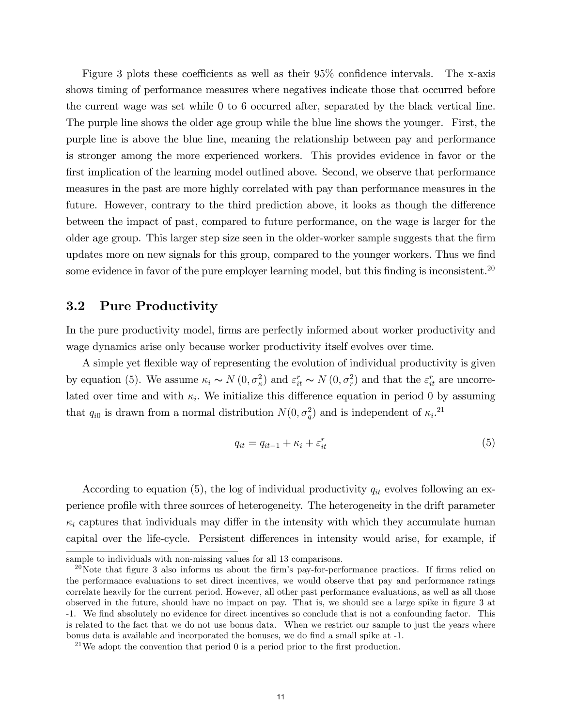Figure 3 plots these coefficients as well as their  $95\%$  confidence intervals. The x-axis shows timing of performance measures where negatives indicate those that occurred before the current wage was set while 0 to 6 occurred after, separated by the black vertical line. The purple line shows the older age group while the blue line shows the younger. First, the purple line is above the blue line, meaning the relationship between pay and performance is stronger among the more experienced workers. This provides evidence in favor or the first implication of the learning model outlined above. Second, we observe that performance measures in the past are more highly correlated with pay than performance measures in the future. However, contrary to the third prediction above, it looks as though the difference between the impact of past, compared to future performance, on the wage is larger for the older age group. This larger step size seen in the older-worker sample suggests that the firm updates more on new signals for this group, compared to the younger workers. Thus we find some evidence in favor of the pure employer learning model, but this finding is inconsistent.<sup>20</sup>

## 3.2 Pure Productivity

In the pure productivity model, firms are perfectly informed about worker productivity and wage dynamics arise only because worker productivity itself evolves over time.

A simple yet flexible way of representing the evolution of individual productivity is given by equation (5). We assume  $\kappa_i \sim N(0, \sigma_{\kappa}^2)$  and  $\varepsilon_{it}^r \sim N(0, \sigma_{r}^2)$  and that the  $\varepsilon_{it}^r$  are uncorrelated over time and with  $\kappa_i$ . We initialize this difference equation in period 0 by assuming that  $q_{i0}$  is drawn from a normal distribution  $N(0, \sigma_q^2)$  and is independent of  $\kappa_i$ .<sup>21</sup>

$$
q_{it} = q_{it-1} + \kappa_i + \varepsilon_{it}^r \tag{5}
$$

According to equation (5), the log of individual productivity  $q_{it}$  evolves following an experience profile with three sources of heterogeneity. The heterogeneity in the drift parameter  $\kappa_i$  captures that individuals may differ in the intensity with which they accumulate human capital over the life-cycle. Persistent differences in intensity would arise, for example, if

sample to individuals with non-missing values for all 13 comparisons.

<sup>&</sup>lt;sup>20</sup>Note that figure 3 also informs us about the firm's pay-for-performance practices. If firms relied on the performance evaluations to set direct incentives, we would observe that pay and performance ratings correlate heavily for the current period. However, all other past performance evaluations, as well as all those observed in the future, should have no impact on pay. That is, we should see a large spike in figure 3 at -1. We Önd absolutely no evidence for direct incentives so conclude that is not a confounding factor. This is related to the fact that we do not use bonus data. When we restrict our sample to just the years where bonus data is available and incorporated the bonuses, we do find a small spike at  $-1$ .

<sup>&</sup>lt;sup>21</sup>We adopt the convention that period  $\theta$  is a period prior to the first production.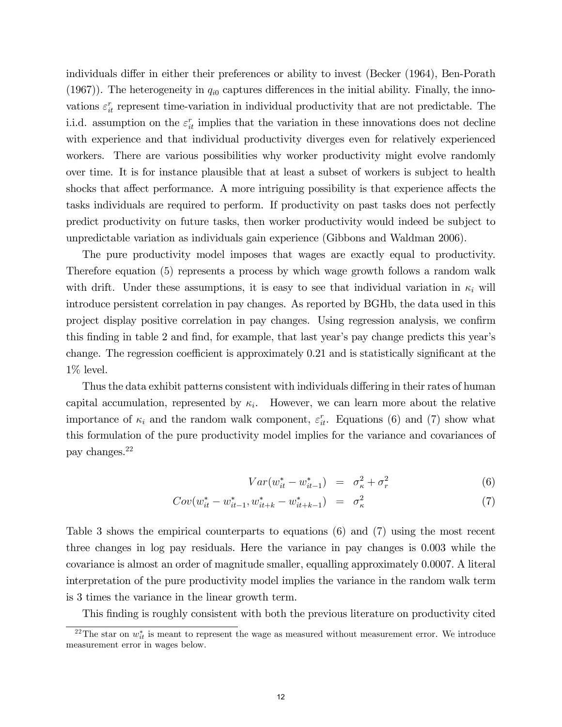individuals differ in either their preferences or ability to invest (Becker (1964), Ben-Porath (1967)). The heterogeneity in  $q_{i0}$  captures differences in the initial ability. Finally, the innovations  $\varepsilon_{it}^r$  represent time-variation in individual productivity that are not predictable. The i.i.d. assumption on the  $\varepsilon_{it}^r$  implies that the variation in these innovations does not decline with experience and that individual productivity diverges even for relatively experienced workers. There are various possibilities why worker productivity might evolve randomly over time. It is for instance plausible that at least a subset of workers is subject to health shocks that affect performance. A more intriguing possibility is that experience affects the tasks individuals are required to perform. If productivity on past tasks does not perfectly predict productivity on future tasks, then worker productivity would indeed be subject to unpredictable variation as individuals gain experience (Gibbons and Waldman 2006).

The pure productivity model imposes that wages are exactly equal to productivity. Therefore equation (5) represents a process by which wage growth follows a random walk with drift. Under these assumptions, it is easy to see that individual variation in  $\kappa_i$  will introduce persistent correlation in pay changes. As reported by BGHb, the data used in this project display positive correlation in pay changes. Using regression analysis, we confirm this finding in table 2 and find, for example, that last year's pay change predicts this year's change. The regression coefficient is approximately 0.21 and is statistically significant at the 1% level.

Thus the data exhibit patterns consistent with individuals differing in their rates of human capital accumulation, represented by  $\kappa_i$ . However, we can learn more about the relative importance of  $\kappa_i$  and the random walk component,  $\varepsilon_{it}^r$ . Equations (6) and (7) show what this formulation of the pure productivity model implies for the variance and covariances of pay changes.<sup>22</sup>

$$
Var(w_{it}^* - w_{it-1}^*) = \sigma_{\kappa}^2 + \sigma_r^2 \tag{6}
$$

$$
Cov(w_{it}^* - w_{it-1}^*, w_{it+k}^* - w_{it+k-1}^*) = \sigma_{\kappa}^2 \tag{7}
$$

Table 3 shows the empirical counterparts to equations (6) and (7) using the most recent three changes in log pay residuals. Here the variance in pay changes is 0.003 while the covariance is almost an order of magnitude smaller, equalling approximately 0.0007. A literal interpretation of the pure productivity model implies the variance in the random walk term is 3 times the variance in the linear growth term.

This finding is roughly consistent with both the previous literature on productivity cited

<sup>&</sup>lt;sup>22</sup>The star on  $w_{it}^*$  is meant to represent the wage as measured without measurement error. We introduce measurement error in wages below.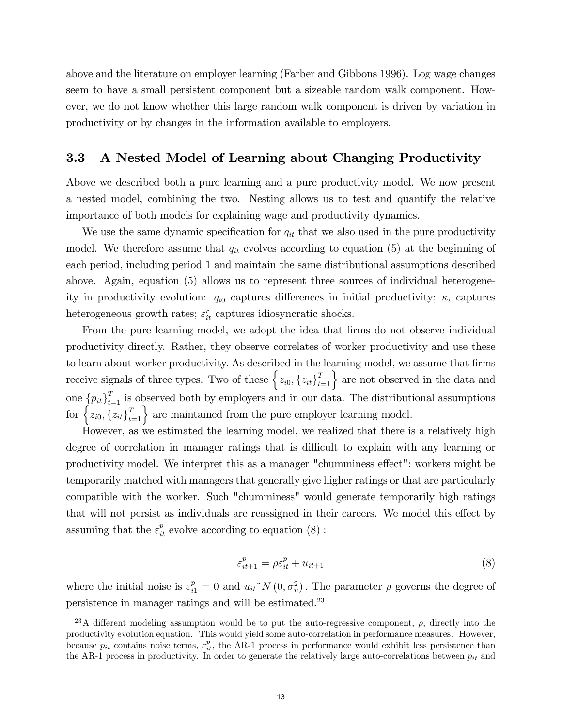above and the literature on employer learning (Farber and Gibbons 1996). Log wage changes seem to have a small persistent component but a sizeable random walk component. However, we do not know whether this large random walk component is driven by variation in productivity or by changes in the information available to employers.

## 3.3 A Nested Model of Learning about Changing Productivity

Above we described both a pure learning and a pure productivity model. We now present a nested model, combining the two. Nesting allows us to test and quantify the relative importance of both models for explaining wage and productivity dynamics.

We use the same dynamic specification for  $q_{it}$  that we also used in the pure productivity model. We therefore assume that  $q_{it}$  evolves according to equation (5) at the beginning of each period, including period 1 and maintain the same distributional assumptions described above. Again, equation (5) allows us to represent three sources of individual heterogeneity in productivity evolution:  $q_{i0}$  captures differences in initial productivity;  $\kappa_i$  captures heterogeneous growth rates;  $\varepsilon_{it}^r$  captures idiosyncratic shocks.

From the pure learning model, we adopt the idea that firms do not observe individual productivity directly. Rather, they observe correlates of worker productivity and use these to learn about worker productivity. As described in the learning model, we assume that firms receive signals of three types. Two of these  $\{z_{i0}, \{z_{it}\}_{t=1}^T\}$  are not observed in the data and one  $\{p_{it}\}_{t=1}^T$  is observed both by employers and in our data. The distributional assumptions for  $\left\{z_{i0}, \left\{z_{it}\right\}_{t=1}^T\right\}$  are maintained from the pure employer learning model.

However, as we estimated the learning model, we realized that there is a relatively high degree of correlation in manager ratings that is difficult to explain with any learning or productivity model. We interpret this as a manager "chumminess effect": workers might be temporarily matched with managers that generally give higher ratings or that are particularly compatible with the worker. Such "chumminess" would generate temporarily high ratings that will not persist as individuals are reassigned in their careers. We model this effect by assuming that the  $\varepsilon_{it}^p$  evolve according to equation (8):

$$
\varepsilon_{it+1}^p = \rho \varepsilon_{it}^p + u_{it+1} \tag{8}
$$

where the initial noise is  $\varepsilon_{i1}^p = 0$  and  $u_{it}^N(N(0, \sigma_u^2))$ . The parameter  $\rho$  governs the degree of persistence in manager ratings and will be estimated.<sup>23</sup>

<sup>&</sup>lt;sup>23</sup>A different modeling assumption would be to put the auto-regressive component,  $\rho$ , directly into the productivity evolution equation. This would yield some auto-correlation in performance measures. However, because  $p_{it}$  contains noise terms,  $\varepsilon_{it}^p$ , the AR-1 process in performance would exhibit less persistence than the AR-1 process in productivity. In order to generate the relatively large auto-correlations between  $p_{it}$  and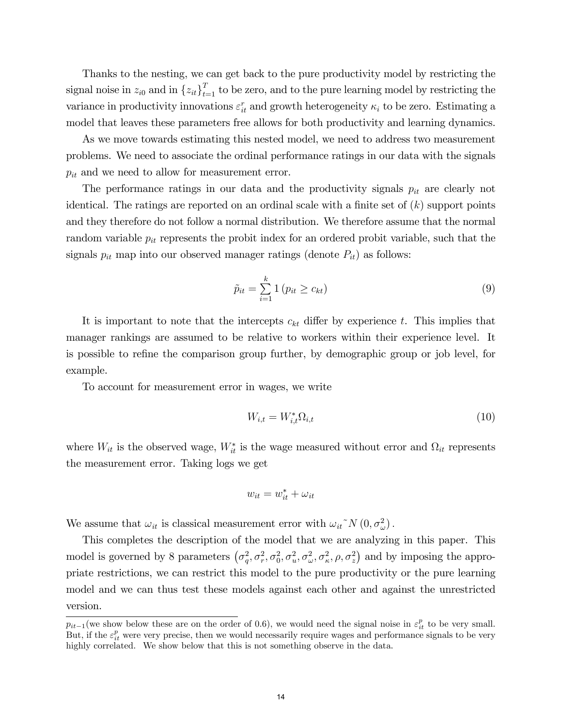Thanks to the nesting, we can get back to the pure productivity model by restricting the signal noise in  $z_{i0}$  and in  ${z_{it}}_{t=1}^T$  to be zero, and to the pure learning model by restricting the variance in productivity innovations  $\varepsilon_{it}^r$  and growth heterogeneity  $\kappa_i$  to be zero. Estimating a model that leaves these parameters free allows for both productivity and learning dynamics.

As we move towards estimating this nested model, we need to address two measurement problems. We need to associate the ordinal performance ratings in our data with the signals  $p_{it}$  and we need to allow for measurement error.

The performance ratings in our data and the productivity signals  $p_{it}$  are clearly not identical. The ratings are reported on an ordinal scale with a finite set of  $(k)$  support points and they therefore do not follow a normal distribution. We therefore assume that the normal random variable  $p_{it}$  represents the probit index for an ordered probit variable, such that the signals  $p_{it}$  map into our observed manager ratings (denote  $P_{it}$ ) as follows:

$$
\tilde{p}_{it} = \sum_{i=1}^{k} 1 (p_{it} \ge c_{kt}) \tag{9}
$$

It is important to note that the intercepts  $c_{kt}$  differ by experience t. This implies that manager rankings are assumed to be relative to workers within their experience level. It is possible to refine the comparison group further, by demographic group or job level, for example.

To account for measurement error in wages, we write

$$
W_{i,t} = W_{i,t}^* \Omega_{i,t} \tag{10}
$$

where  $W_{it}$  is the observed wage,  $W_{it}^*$  is the wage measured without error and  $\Omega_{it}$  represents the measurement error. Taking logs we get

$$
w_{it} = w_{it}^* + \omega_{it}
$$

We assume that  $\omega_{it}$  is classical measurement error with  $\omega_{it}^N N(0, \sigma_{\omega}^2)$ .

This completes the description of the model that we are analyzing in this paper. This model is governed by 8 parameters  $(\sigma_q^2, \sigma_r^2, \sigma_0^2, \sigma_u^2, \sigma_\omega^2, \sigma_\kappa^2, \rho, \sigma_z^2)$  and by imposing the appropriate restrictions, we can restrict this model to the pure productivity or the pure learning model and we can thus test these models against each other and against the unrestricted version.

 $p_{it-1}$  (we show below these are on the order of 0.6), we would need the signal noise in  $\varepsilon_{it}^p$  to be very small. But, if the  $\varepsilon_{it}^p$  were very precise, then we would necessarily require wages and performance signals to be very highly correlated. We show below that this is not something observe in the data.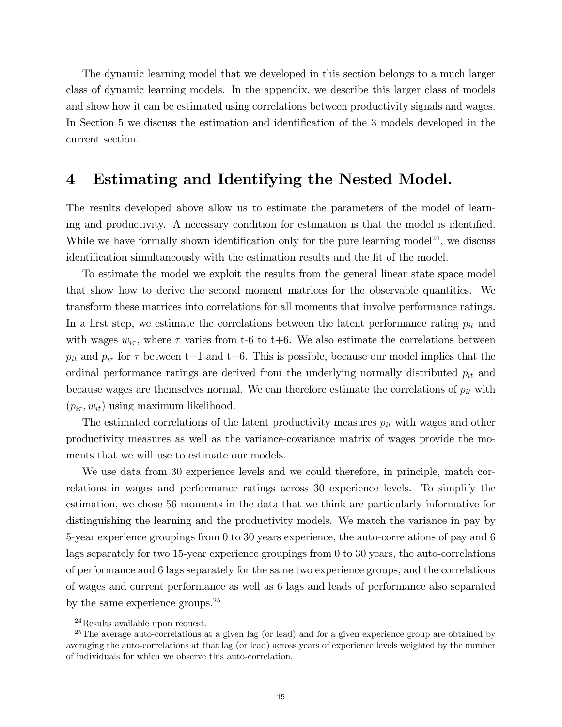The dynamic learning model that we developed in this section belongs to a much larger class of dynamic learning models. In the appendix, we describe this larger class of models and show how it can be estimated using correlations between productivity signals and wages. In Section 5 we discuss the estimation and identification of the 3 models developed in the current section.

## 4 Estimating and Identifying the Nested Model.

The results developed above allow us to estimate the parameters of the model of learning and productivity. A necessary condition for estimation is that the model is identified. While we have formally shown identification only for the pure learning model<sup>24</sup>, we discuss identification simultaneously with the estimation results and the fit of the model.

To estimate the model we exploit the results from the general linear state space model that show how to derive the second moment matrices for the observable quantities. We transform these matrices into correlations for all moments that involve performance ratings. In a first step, we estimate the correlations between the latent performance rating  $p_{it}$  and with wages  $w_{i\tau}$ , where  $\tau$  varies from t-6 to t+6. We also estimate the correlations between  $p_{it}$  and  $p_{i\tau}$  for  $\tau$  between t+1 and t+6. This is possible, because our model implies that the ordinal performance ratings are derived from the underlying normally distributed  $p_{it}$  and because wages are themselves normal. We can therefore estimate the correlations of  $p_{it}$  with  $(p_{i\tau}, w_{it})$  using maximum likelihood.

The estimated correlations of the latent productivity measures  $p_{it}$  with wages and other productivity measures as well as the variance-covariance matrix of wages provide the moments that we will use to estimate our models.

We use data from 30 experience levels and we could therefore, in principle, match correlations in wages and performance ratings across 30 experience levels. To simplify the estimation, we chose 56 moments in the data that we think are particularly informative for distinguishing the learning and the productivity models. We match the variance in pay by 5-year experience groupings from 0 to 30 years experience, the auto-correlations of pay and 6 lags separately for two 15-year experience groupings from 0 to 30 years, the auto-correlations of performance and 6 lags separately for the same two experience groups, and the correlations of wages and current performance as well as 6 lags and leads of performance also separated by the same experience groups.<sup>25</sup>

 $^{24}$ Results available upon request.

<sup>&</sup>lt;sup>25</sup>The average auto-correlations at a given lag (or lead) and for a given experience group are obtained by averaging the auto-correlations at that lag (or lead) across years of experience levels weighted by the number of individuals for which we observe this auto-correlation.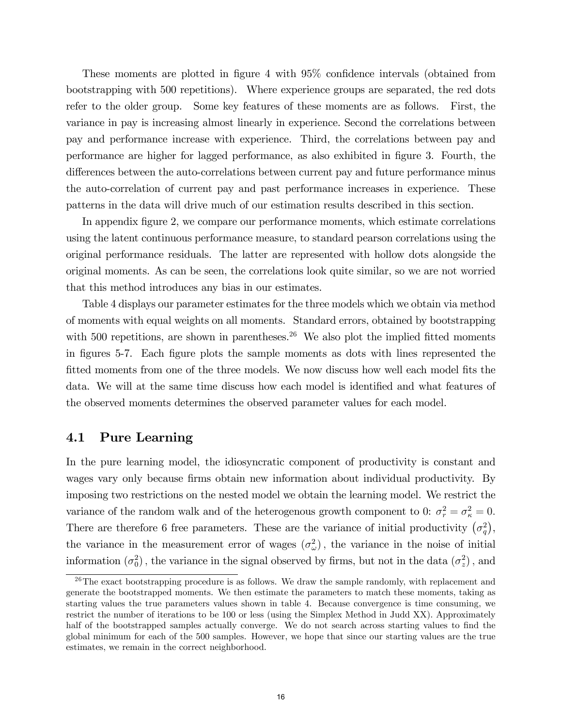These moments are plotted in figure 4 with 95% confidence intervals (obtained from bootstrapping with 500 repetitions). Where experience groups are separated, the red dots refer to the older group. Some key features of these moments are as follows. First, the variance in pay is increasing almost linearly in experience. Second the correlations between pay and performance increase with experience. Third, the correlations between pay and performance are higher for lagged performance, as also exhibited in figure 3. Fourth, the differences between the auto-correlations between current pay and future performance minus the auto-correlation of current pay and past performance increases in experience. These patterns in the data will drive much of our estimation results described in this section.

In appendix Ögure 2, we compare our performance moments, which estimate correlations using the latent continuous performance measure, to standard pearson correlations using the original performance residuals. The latter are represented with hollow dots alongside the original moments. As can be seen, the correlations look quite similar, so we are not worried that this method introduces any bias in our estimates.

Table 4 displays our parameter estimates for the three models which we obtain via method of moments with equal weights on all moments. Standard errors, obtained by bootstrapping with 500 repetitions, are shown in parentheses.<sup>26</sup> We also plot the implied fitted moments in Ögures 5-7. Each Ögure plots the sample moments as dots with lines represented the fitted moments from one of the three models. We now discuss how well each model fits the data. We will at the same time discuss how each model is identified and what features of the observed moments determines the observed parameter values for each model.

#### 4.1 Pure Learning

In the pure learning model, the idiosyncratic component of productivity is constant and wages vary only because firms obtain new information about individual productivity. By imposing two restrictions on the nested model we obtain the learning model. We restrict the variance of the random walk and of the heterogenous growth component to 0:  $\sigma_r^2 = \sigma_\kappa^2 = 0$ . There are therefore 6 free parameters. These are the variance of initial productivity  $(\sigma_q^2)$ , the variance in the measurement error of wages  $(\sigma_{\omega}^2)$ , the variance in the noise of initial information  $(\sigma_0^2)$ , the variance in the signal observed by firms, but not in the data  $(\sigma_z^2)$ , and

 $26$ The exact bootstrapping procedure is as follows. We draw the sample randomly, with replacement and generate the bootstrapped moments. We then estimate the parameters to match these moments, taking as starting values the true parameters values shown in table 4. Because convergence is time consuming, we restrict the number of iterations to be 100 or less (using the Simplex Method in Judd XX). Approximately half of the bootstrapped samples actually converge. We do not search across starting values to find the global minimum for each of the 500 samples. However, we hope that since our starting values are the true estimates, we remain in the correct neighborhood.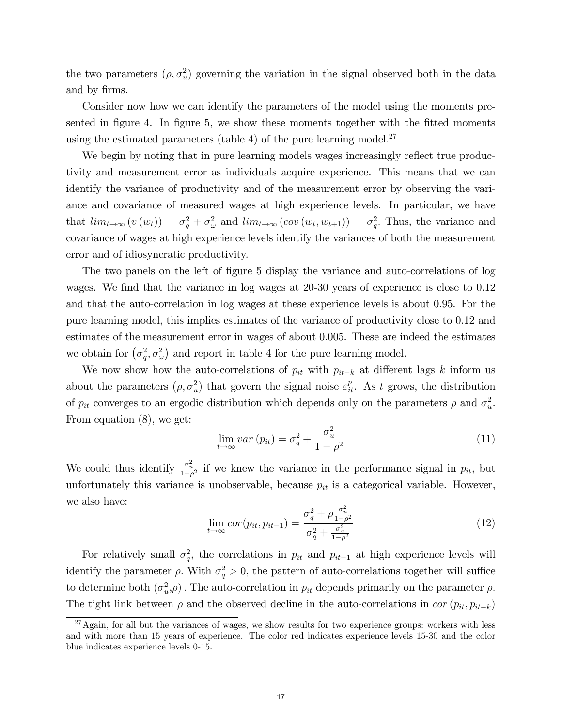the two parameters  $(\rho, \sigma_u^2)$  governing the variation in the signal observed both in the data and by firms.

Consider now how we can identify the parameters of the model using the moments presented in figure 4. In figure 5, we show these moments together with the fitted moments using the estimated parameters (table 4) of the pure learning model. $27$ 

We begin by noting that in pure learning models wages increasingly reflect true productivity and measurement error as individuals acquire experience. This means that we can identify the variance of productivity and of the measurement error by observing the variance and covariance of measured wages at high experience levels. In particular, we have that  $\lim_{t\to\infty} (v(w_t)) = \sigma_q^2 + \sigma_\omega^2$  and  $\lim_{t\to\infty} (cov(w_t, w_{t+1})) = \sigma_q^2$ . Thus, the variance and covariance of wages at high experience levels identify the variances of both the measurement error and of idiosyncratic productivity.

The two panels on the left of figure 5 display the variance and auto-correlations of log wages. We find that the variance in log wages at 20-30 years of experience is close to 0.12 and that the auto-correlation in log wages at these experience levels is about 0.95. For the pure learning model, this implies estimates of the variance of productivity close to 0.12 and estimates of the measurement error in wages of about 0.005. These are indeed the estimates we obtain for  $(\sigma_q^2, \sigma_\omega^2)$  and report in table 4 for the pure learning model.

We now show how the auto-correlations of  $p_{it}$  with  $p_{it-k}$  at different lags k inform us about the parameters  $(\rho, \sigma_u^2)$  that govern the signal noise  $\varepsilon_u^p$ . As t grows, the distribution of  $p_{it}$  converges to an ergodic distribution which depends only on the parameters  $\rho$  and  $\sigma_u^2$ . From equation (8), we get:

$$
\lim_{t \to \infty} var(p_{it}) = \sigma_q^2 + \frac{\sigma_u^2}{1 - \rho^2}
$$
\n(11)

We could thus identify  $\frac{\sigma_u^2}{1-\rho^2}$  if we knew the variance in the performance signal in  $p_{it}$ , but unfortunately this variance is unobservable, because  $p_{it}$  is a categorical variable. However, we also have:

$$
\lim_{t \to \infty} cor(p_{it}, p_{it-1}) = \frac{\sigma_q^2 + \rho \frac{\sigma_u^2}{1 - \rho^2}}{\sigma_q^2 + \frac{\sigma_u^2}{1 - \rho^2}}
$$
\n(12)

For relatively small  $\sigma_q^2$ , the correlations in  $p_{it}$  and  $p_{it-1}$  at high experience levels will identify the parameter  $\rho$ . With  $\sigma_q^2 > 0$ , the pattern of auto-correlations together will suffice to determine both  $(\sigma_u^2, \rho)$ . The auto-correlation in  $p_{it}$  depends primarily on the parameter  $\rho$ . The tight link between  $\rho$  and the observed decline in the auto-correlations in cor  $(p_{it}, p_{it-k})$ 

 $27$ Again, for all but the variances of wages, we show results for two experience groups: workers with less and with more than 15 years of experience. The color red indicates experience levels 15-30 and the color blue indicates experience levels 0-15.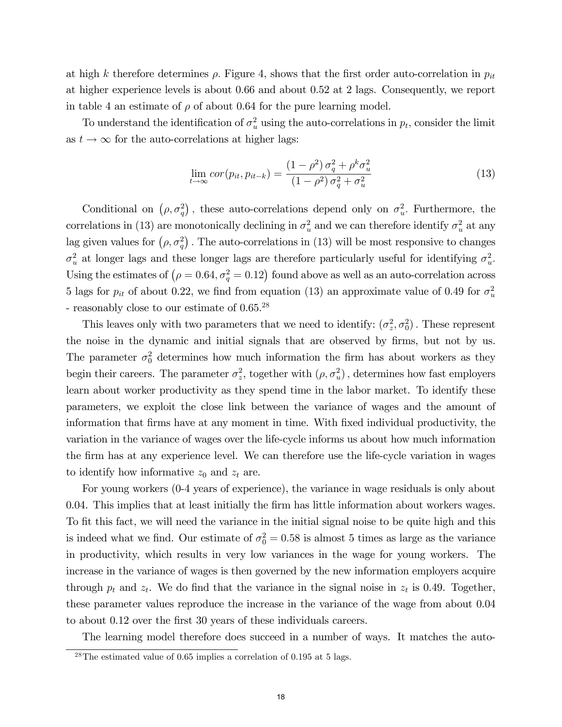at high k therefore determines  $\rho$ . Figure 4, shows that the first order auto-correlation in  $p_{it}$ at higher experience levels is about 0.66 and about 0.52 at 2 lags. Consequently, we report in table 4 an estimate of  $\rho$  of about 0.64 for the pure learning model.

To understand the identification of  $\sigma_u^2$  using the auto-correlations in  $p_t$ , consider the limit as  $t \to \infty$  for the auto-correlations at higher lags:

$$
\lim_{t \to \infty} cor(p_{it}, p_{it-k}) = \frac{(1 - \rho^2) \sigma_q^2 + \rho^k \sigma_u^2}{(1 - \rho^2) \sigma_q^2 + \sigma_u^2}
$$
\n(13)

Conditional on  $(\rho, \sigma_q^2)$ , these auto-correlations depend only on  $\sigma_u^2$ . Furthermore, the correlations in (13) are monotonically declining in  $\sigma_u^2$  and we can therefore identify  $\sigma_u^2$  at any lag given values for  $(\rho, \sigma_q^2)$ . The auto-correlations in (13) will be most responsive to changes  $\sigma_u^2$  at longer lags and these longer lags are therefore particularly useful for identifying  $\sigma_u^2$ . Using the estimates of  $(\rho = 0.64, \sigma_q^2 = 0.12)$  found above as well as an auto-correlation across 5 lags for  $p_{it}$  of about 0.22, we find from equation (13) an approximate value of 0.49 for  $\sigma_u^2$ - reasonably close to our estimate of  $0.65^{28}$ 

This leaves only with two parameters that we need to identify:  $(\sigma_z^2, \sigma_0^2)$ . These represent the noise in the dynamic and initial signals that are observed by firms, but not by us. The parameter  $\sigma_0^2$  determines how much information the firm has about workers as they begin their careers. The parameter  $\sigma_z^2$ , together with  $(\rho, \sigma_u^2)$ , determines how fast employers learn about worker productivity as they spend time in the labor market. To identify these parameters, we exploit the close link between the variance of wages and the amount of information that Örms have at any moment in time. With Öxed individual productivity, the variation in the variance of wages over the life-cycle informs us about how much information the firm has at any experience level. We can therefore use the life-cycle variation in wages to identify how informative  $z_0$  and  $z_t$  are.

For young workers (0-4 years of experience), the variance in wage residuals is only about 0.04. This implies that at least initially the Örm has little information about workers wages. To fit this fact, we will need the variance in the initial signal noise to be quite high and this is indeed what we find. Our estimate of  $\sigma_0^2 = 0.58$  is almost 5 times as large as the variance in productivity, which results in very low variances in the wage for young workers. The increase in the variance of wages is then governed by the new information employers acquire through  $p_t$  and  $z_t$ . We do find that the variance in the signal noise in  $z_t$  is 0.49. Together, these parameter values reproduce the increase in the variance of the wage from about 0.04 to about 0.12 over the first 30 years of these individuals careers.

The learning model therefore does succeed in a number of ways. It matches the auto-

 $^{28}$ The estimated value of 0.65 implies a correlation of 0.195 at 5 lags.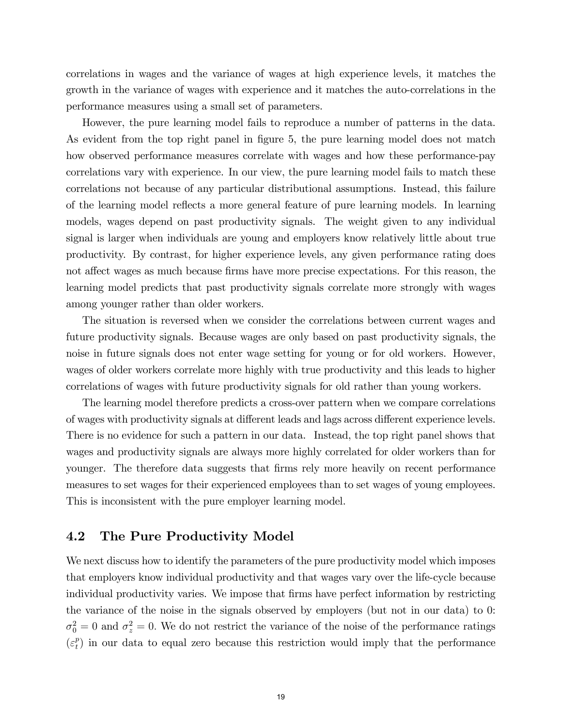correlations in wages and the variance of wages at high experience levels, it matches the growth in the variance of wages with experience and it matches the auto-correlations in the performance measures using a small set of parameters.

However, the pure learning model fails to reproduce a number of patterns in the data. As evident from the top right panel in figure 5, the pure learning model does not match how observed performance measures correlate with wages and how these performance-pay correlations vary with experience. In our view, the pure learning model fails to match these correlations not because of any particular distributional assumptions. Instead, this failure of the learning model reflects a more general feature of pure learning models. In learning models, wages depend on past productivity signals. The weight given to any individual signal is larger when individuals are young and employers know relatively little about true productivity. By contrast, for higher experience levels, any given performance rating does not affect wages as much because firms have more precise expectations. For this reason, the learning model predicts that past productivity signals correlate more strongly with wages among younger rather than older workers.

The situation is reversed when we consider the correlations between current wages and future productivity signals. Because wages are only based on past productivity signals, the noise in future signals does not enter wage setting for young or for old workers. However, wages of older workers correlate more highly with true productivity and this leads to higher correlations of wages with future productivity signals for old rather than young workers.

The learning model therefore predicts a cross-over pattern when we compare correlations of wages with productivity signals at different leads and lags across different experience levels. There is no evidence for such a pattern in our data. Instead, the top right panel shows that wages and productivity signals are always more highly correlated for older workers than for younger. The therefore data suggests that firms rely more heavily on recent performance measures to set wages for their experienced employees than to set wages of young employees. This is inconsistent with the pure employer learning model.

## 4.2 The Pure Productivity Model

We next discuss how to identify the parameters of the pure productivity model which imposes that employers know individual productivity and that wages vary over the life-cycle because individual productivity varies. We impose that firms have perfect information by restricting the variance of the noise in the signals observed by employers (but not in our data) to 0:  $\sigma_0^2 = 0$  and  $\sigma_z^2 = 0$ . We do not restrict the variance of the noise of the performance ratings  $(\varepsilon_t^p)$  $_{t}^{p}$ ) in our data to equal zero because this restriction would imply that the performance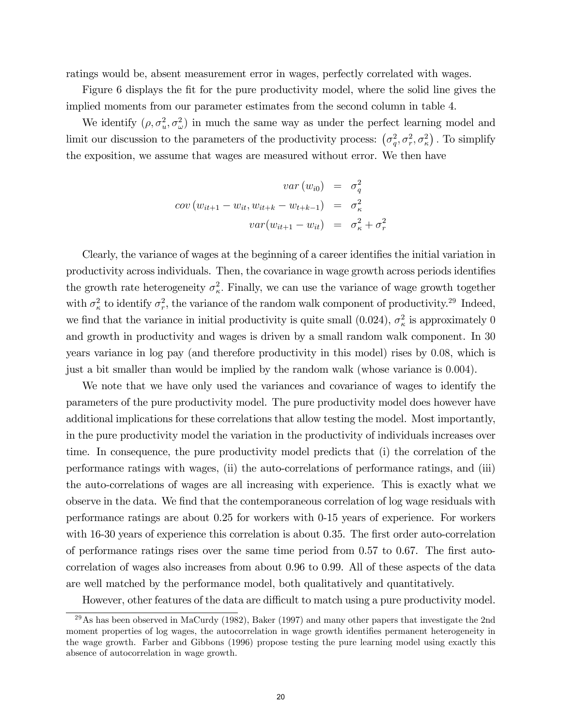ratings would be, absent measurement error in wages, perfectly correlated with wages.

Figure 6 displays the fit for the pure productivity model, where the solid line gives the implied moments from our parameter estimates from the second column in table 4.

We identify  $(\rho, \sigma_u^2, \sigma_\omega^2)$  in much the same way as under the perfect learning model and limit our discussion to the parameters of the productivity process:  $(\sigma_q^2, \sigma_r^2, \sigma_\kappa^2)$ . To simplify the exposition, we assume that wages are measured without error. We then have

$$
var(w_{i0}) = \sigma_q^2
$$
  

$$
cov(w_{it+1} - w_{it}, w_{it+k} - w_{t+k-1}) = \sigma_\kappa^2
$$
  

$$
var(w_{it+1} - w_{it}) = \sigma_\kappa^2 + \sigma_r^2
$$

Clearly, the variance of wages at the beginning of a career identifies the initial variation in productivity across individuals. Then, the covariance in wage growth across periods identifies the growth rate heterogeneity  $\sigma_{\kappa}^2$ . Finally, we can use the variance of wage growth together with  $\sigma_{\kappa}^2$  to identify  $\sigma_{r}^2$ , the variance of the random walk component of productivity.<sup>29</sup> Indeed, we find that the variance in initial productivity is quite small (0.024),  $\sigma_{\kappa}^2$  is approximately 0 and growth in productivity and wages is driven by a small random walk component. In 30 years variance in log pay (and therefore productivity in this model) rises by 0:08, which is just a bit smaller than would be implied by the random walk (whose variance is 0:004).

We note that we have only used the variances and covariance of wages to identify the parameters of the pure productivity model. The pure productivity model does however have additional implications for these correlations that allow testing the model. Most importantly, in the pure productivity model the variation in the productivity of individuals increases over time. In consequence, the pure productivity model predicts that (i) the correlation of the performance ratings with wages, (ii) the auto-correlations of performance ratings, and (iii) the auto-correlations of wages are all increasing with experience. This is exactly what we observe in the data. We find that the contemporaneous correlation of log wage residuals with performance ratings are about 0.25 for workers with 0-15 years of experience. For workers with 16-30 years of experience this correlation is about 0.35. The first order auto-correlation of performance ratings rises over the same time period from  $0.57$  to  $0.67$ . The first autocorrelation of wages also increases from about 0.96 to 0.99. All of these aspects of the data are well matched by the performance model, both qualitatively and quantitatively.

However, other features of the data are difficult to match using a pure productivity model.

<sup>29</sup>As has been observed in MaCurdy (1982), Baker (1997) and many other papers that investigate the 2nd moment properties of log wages, the autocorrelation in wage growth identifies permanent heterogeneity in the wage growth. Farber and Gibbons (1996) propose testing the pure learning model using exactly this absence of autocorrelation in wage growth.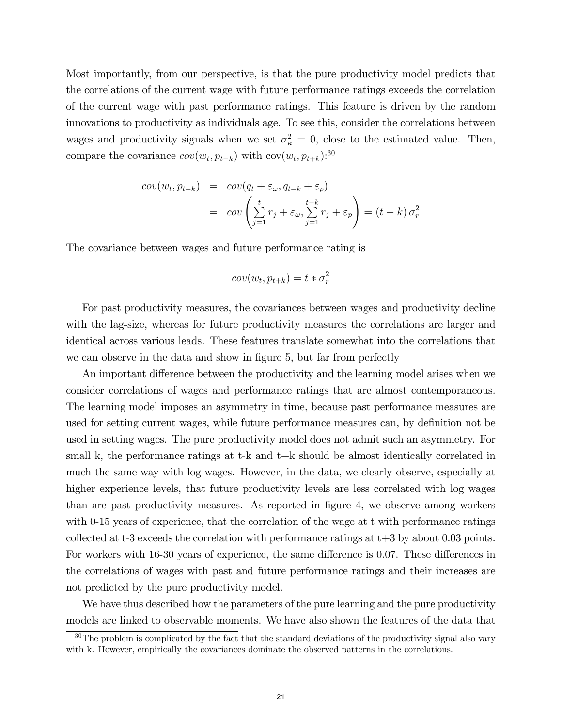Most importantly, from our perspective, is that the pure productivity model predicts that the correlations of the current wage with future performance ratings exceeds the correlation of the current wage with past performance ratings. This feature is driven by the random innovations to productivity as individuals age. To see this, consider the correlations between wages and productivity signals when we set  $\sigma_{\kappa}^2 = 0$ , close to the estimated value. Then, compare the covariance  $cov(w_t, p_{t-k})$  with  $cov(w_t, p_{t+k})$ :<sup>30</sup>

$$
cov(w_t, p_{t-k}) = cov(q_t + \varepsilon_\omega, q_{t-k} + \varepsilon_p)
$$
  
= 
$$
cov\left(\sum_{j=1}^t r_j + \varepsilon_\omega, \sum_{j=1}^{t-k} r_j + \varepsilon_p\right) = (t - k) \sigma_r^2
$$

The covariance between wages and future performance rating is

$$
cov(w_t, p_{t+k}) = t * \sigma_r^2
$$

For past productivity measures, the covariances between wages and productivity decline with the lag-size, whereas for future productivity measures the correlations are larger and identical across various leads. These features translate somewhat into the correlations that we can observe in the data and show in figure 5, but far from perfectly

An important difference between the productivity and the learning model arises when we consider correlations of wages and performance ratings that are almost contemporaneous. The learning model imposes an asymmetry in time, because past performance measures are used for setting current wages, while future performance measures can, by definition not be used in setting wages. The pure productivity model does not admit such an asymmetry. For small k, the performance ratings at t-k and t+k should be almost identically correlated in much the same way with log wages. However, in the data, we clearly observe, especially at higher experience levels, that future productivity levels are less correlated with log wages than are past productivity measures. As reported in figure 4, we observe among workers with 0-15 years of experience, that the correlation of the wage at t with performance ratings collected at t-3 exceeds the correlation with performance ratings at t+3 by about 0.03 points. For workers with 16-30 years of experience, the same difference is 0.07. These differences in the correlations of wages with past and future performance ratings and their increases are not predicted by the pure productivity model.

We have thus described how the parameters of the pure learning and the pure productivity models are linked to observable moments. We have also shown the features of the data that

<sup>&</sup>lt;sup>30</sup>The problem is complicated by the fact that the standard deviations of the productivity signal also vary with k. However, empirically the covariances dominate the observed patterns in the correlations.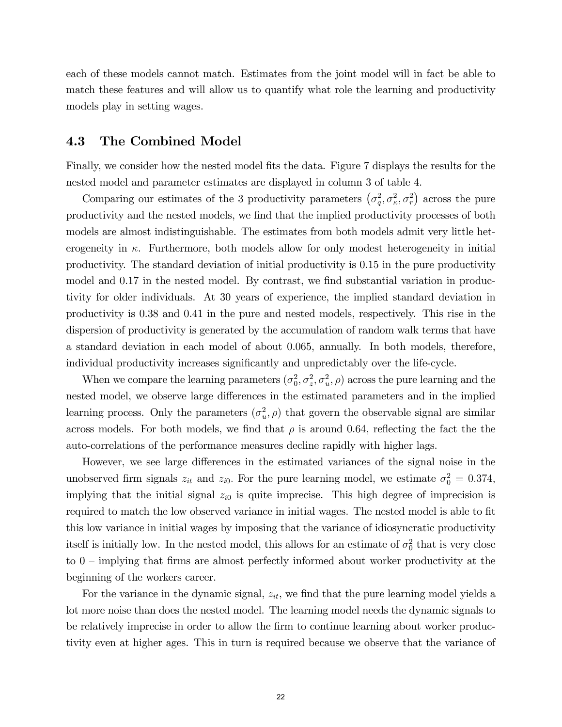each of these models cannot match. Estimates from the joint model will in fact be able to match these features and will allow us to quantify what role the learning and productivity models play in setting wages.

## 4.3 The Combined Model

Finally, we consider how the nested model fits the data. Figure 7 displays the results for the nested model and parameter estimates are displayed in column 3 of table 4.

Comparing our estimates of the 3 productivity parameters  $(\sigma_q^2, \sigma_\kappa^2, \sigma_r^2)$  across the pure productivity and the nested models, we find that the implied productivity processes of both models are almost indistinguishable. The estimates from both models admit very little heterogeneity in  $\kappa$ . Furthermore, both models allow for only modest heterogeneity in initial productivity. The standard deviation of initial productivity is 0.15 in the pure productivity model and 0.17 in the nested model. By contrast, we find substantial variation in productivity for older individuals. At 30 years of experience, the implied standard deviation in productivity is 0.38 and 0.41 in the pure and nested models, respectively. This rise in the dispersion of productivity is generated by the accumulation of random walk terms that have a standard deviation in each model of about 0.065, annually. In both models, therefore, individual productivity increases significantly and unpredictably over the life-cycle.

When we compare the learning parameters  $(\sigma_0^2, \sigma_z^2, \sigma_u^2, \rho)$  across the pure learning and the nested model, we observe large differences in the estimated parameters and in the implied learning process. Only the parameters  $(\sigma_u^2, \rho)$  that govern the observable signal are similar across models. For both models, we find that  $\rho$  is around 0.64, reflecting the fact the the auto-correlations of the performance measures decline rapidly with higher lags.

However, we see large differences in the estimated variances of the signal noise in the unobserved firm signals  $z_{it}$  and  $z_{i0}$ . For the pure learning model, we estimate  $\sigma_0^2 = 0.374$ , implying that the initial signal  $z_{i0}$  is quite imprecise. This high degree of imprecision is required to match the low observed variance in initial wages. The nested model is able to fit this low variance in initial wages by imposing that the variance of idiosyncratic productivity itself is initially low. In the nested model, this allows for an estimate of  $\sigma_0^2$  that is very close to  $0$  – implying that firms are almost perfectly informed about worker productivity at the beginning of the workers career.

For the variance in the dynamic signal,  $z_{it}$ , we find that the pure learning model yields a lot more noise than does the nested model. The learning model needs the dynamic signals to be relatively imprecise in order to allow the firm to continue learning about worker productivity even at higher ages. This in turn is required because we observe that the variance of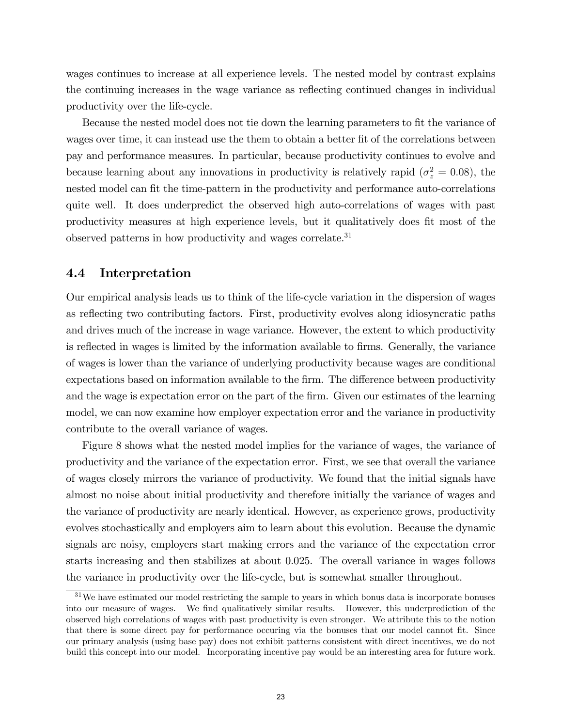wages continues to increase at all experience levels. The nested model by contrast explains the continuing increases in the wage variance as reflecting continued changes in individual productivity over the life-cycle.

Because the nested model does not tie down the learning parameters to fit the variance of wages over time, it can instead use the them to obtain a better fit of the correlations between pay and performance measures. In particular, because productivity continues to evolve and because learning about any innovations in productivity is relatively rapid ( $\sigma_z^2 = 0.08$ ), the nested model can fit the time-pattern in the productivity and performance auto-correlations quite well. It does underpredict the observed high auto-correlations of wages with past productivity measures at high experience levels, but it qualitatively does fit most of the observed patterns in how productivity and wages correlate.<sup>31</sup>

#### 4.4 Interpretation

Our empirical analysis leads us to think of the life-cycle variation in the dispersion of wages as reflecting two contributing factors. First, productivity evolves along idiosyncratic paths and drives much of the increase in wage variance. However, the extent to which productivity is reflected in wages is limited by the information available to firms. Generally, the variance of wages is lower than the variance of underlying productivity because wages are conditional expectations based on information available to the firm. The difference between productivity and the wage is expectation error on the part of the firm. Given our estimates of the learning model, we can now examine how employer expectation error and the variance in productivity contribute to the overall variance of wages.

Figure 8 shows what the nested model implies for the variance of wages, the variance of productivity and the variance of the expectation error. First, we see that overall the variance of wages closely mirrors the variance of productivity. We found that the initial signals have almost no noise about initial productivity and therefore initially the variance of wages and the variance of productivity are nearly identical. However, as experience grows, productivity evolves stochastically and employers aim to learn about this evolution. Because the dynamic signals are noisy, employers start making errors and the variance of the expectation error starts increasing and then stabilizes at about 0.025. The overall variance in wages follows the variance in productivity over the life-cycle, but is somewhat smaller throughout.

<sup>31</sup>We have estimated our model restricting the sample to years in which bonus data is incorporate bonuses into our measure of wages. We find qualitatively similar results. However, this underprediction of the observed high correlations of wages with past productivity is even stronger. We attribute this to the notion that there is some direct pay for performance occuring via the bonuses that our model cannot fit. Since our primary analysis (using base pay) does not exhibit patterns consistent with direct incentives, we do not build this concept into our model. Incorporating incentive pay would be an interesting area for future work.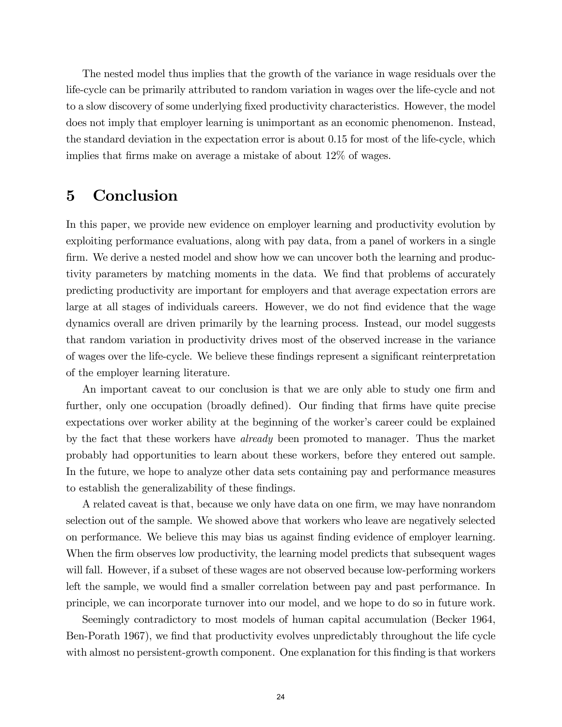The nested model thus implies that the growth of the variance in wage residuals over the life-cycle can be primarily attributed to random variation in wages over the life-cycle and not to a slow discovery of some underlying fixed productivity characteristics. However, the model does not imply that employer learning is unimportant as an economic phenomenon. Instead, the standard deviation in the expectation error is about 0.15 for most of the life-cycle, which implies that firms make on average a mistake of about 12% of wages.

## 5 Conclusion

In this paper, we provide new evidence on employer learning and productivity evolution by exploiting performance evaluations, along with pay data, from a panel of workers in a single firm. We derive a nested model and show how we can uncover both the learning and productivity parameters by matching moments in the data. We find that problems of accurately predicting productivity are important for employers and that average expectation errors are large at all stages of individuals careers. However, we do not find evidence that the wage dynamics overall are driven primarily by the learning process. Instead, our model suggests that random variation in productivity drives most of the observed increase in the variance of wages over the life-cycle. We believe these findings represent a significant reinterpretation of the employer learning literature.

An important caveat to our conclusion is that we are only able to study one firm and further, only one occupation (broadly defined). Our finding that firms have quite precise expectations over worker ability at the beginning of the worker's career could be explained by the fact that these workers have already been promoted to manager. Thus the market probably had opportunities to learn about these workers, before they entered out sample. In the future, we hope to analyze other data sets containing pay and performance measures to establish the generalizability of these findings.

A related caveat is that, because we only have data on one firm, we may have nonrandom selection out of the sample. We showed above that workers who leave are negatively selected on performance. We believe this may bias us against Önding evidence of employer learning. When the firm observes low productivity, the learning model predicts that subsequent wages will fall. However, if a subset of these wages are not observed because low-performing workers left the sample, we would find a smaller correlation between pay and past performance. In principle, we can incorporate turnover into our model, and we hope to do so in future work.

Seemingly contradictory to most models of human capital accumulation (Becker 1964, Ben-Porath 1967), we find that productivity evolves unpredictably throughout the life cycle with almost no persistent-growth component. One explanation for this finding is that workers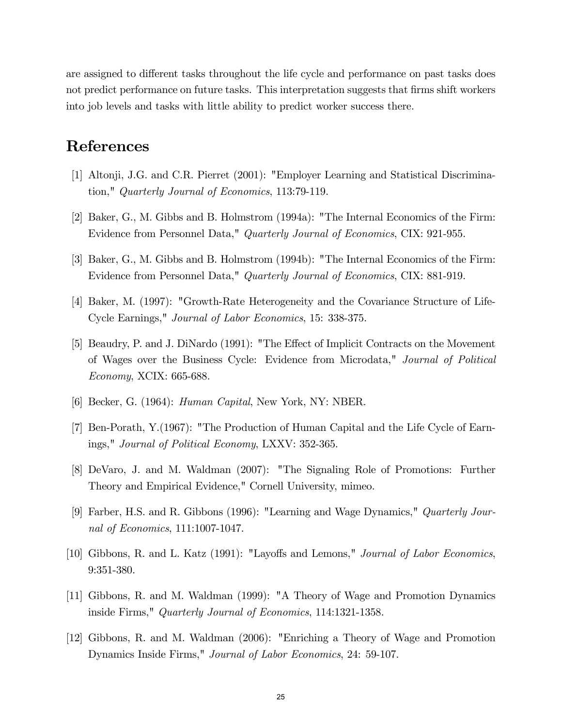are assigned to different tasks throughout the life cycle and performance on past tasks does not predict performance on future tasks. This interpretation suggests that firms shift workers into job levels and tasks with little ability to predict worker success there.

## References

- [1] Altonji, J.G. and C.R. Pierret (2001): "Employer Learning and Statistical Discrimination," Quarterly Journal of Economics, 113:79-119.
- [2] Baker, G., M. Gibbs and B. Holmstrom (1994a): "The Internal Economics of the Firm: Evidence from Personnel Data," Quarterly Journal of Economics, CIX: 921-955.
- [3] Baker, G., M. Gibbs and B. Holmstrom (1994b): "The Internal Economics of the Firm: Evidence from Personnel Data," Quarterly Journal of Economics, CIX: 881-919.
- [4] Baker, M. (1997): "Growth-Rate Heterogeneity and the Covariance Structure of Life-Cycle Earnings," Journal of Labor Economics, 15: 338-375.
- [5] Beaudry, P. and J. DiNardo (1991): "The Effect of Implicit Contracts on the Movement of Wages over the Business Cycle: Evidence from Microdata," Journal of Political Economy, XCIX: 665-688.
- [6] Becker, G. (1964): Human Capital, New York, NY: NBER.
- [7] Ben-Porath, Y.(1967): "The Production of Human Capital and the Life Cycle of Earnings," Journal of Political Economy, LXXV: 352-365.
- [8] DeVaro, J. and M. Waldman (2007): "The Signaling Role of Promotions: Further Theory and Empirical Evidence," Cornell University, mimeo.
- [9] Farber, H.S. and R. Gibbons (1996): "Learning and Wage Dynamics," Quarterly Journal of Economics, 111:1007-1047.
- [10] Gibbons, R. and L. Katz (1991): "Layoffs and Lemons," *Journal of Labor Economics*, 9:351-380.
- [11] Gibbons, R. and M. Waldman (1999): "A Theory of Wage and Promotion Dynamics inside Firms," Quarterly Journal of Economics, 114:1321-1358.
- [12] Gibbons, R. and M. Waldman (2006): "Enriching a Theory of Wage and Promotion Dynamics Inside Firms," Journal of Labor Economics, 24: 59-107.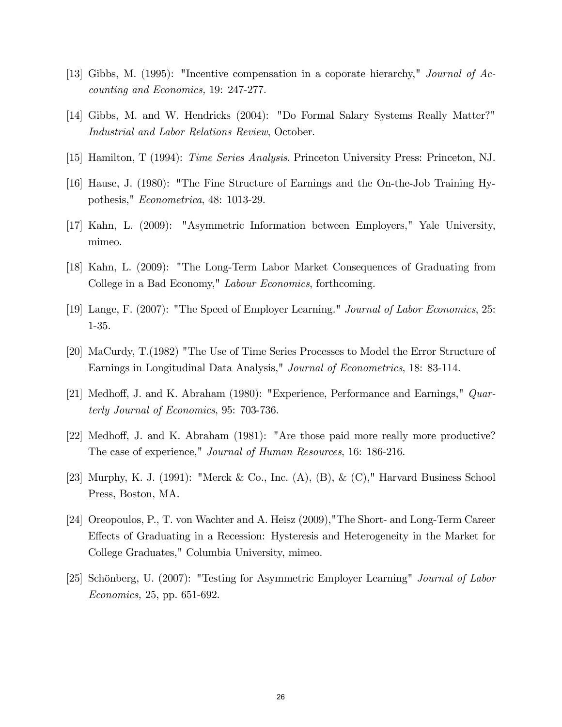- [13] Gibbs, M. (1995): "Incentive compensation in a coporate hierarchy," Journal of Accounting and Economics, 19: 247-277.
- [14] Gibbs, M. and W. Hendricks (2004): "Do Formal Salary Systems Really Matter?" Industrial and Labor Relations Review, October.
- [15] Hamilton, T (1994): Time Series Analysis. Princeton University Press: Princeton, NJ.
- [16] Hause, J. (1980): "The Fine Structure of Earnings and the On-the-Job Training Hypothesis," Econometrica, 48: 1013-29.
- [17] Kahn, L. (2009): "Asymmetric Information between Employers," Yale University, mimeo.
- [18] Kahn, L. (2009): "The Long-Term Labor Market Consequences of Graduating from College in a Bad Economy," Labour Economics, forthcoming.
- [19] Lange, F. (2007): "The Speed of Employer Learning." Journal of Labor Economics, 25: 1-35.
- [20] MaCurdy, T.(1982) "The Use of Time Series Processes to Model the Error Structure of Earnings in Longitudinal Data Analysis," Journal of Econometrics, 18: 83-114.
- [21] Medhoff, J. and K. Abraham (1980): "Experience, Performance and Earnings," Quarterly Journal of Economics, 95: 703-736.
- [22] Medhoff, J. and K. Abraham (1981): "Are those paid more really more productive? The case of experience," Journal of Human Resources, 16: 186-216.
- [23] Murphy, K. J. (1991): "Merck & Co., Inc. (A), (B), & (C)," Harvard Business School Press, Boston, MA.
- [24] Oreopoulos, P., T. von Wachter and A. Heisz (2009),"The Short- and Long-Term Career Effects of Graduating in a Recession: Hysteresis and Heterogeneity in the Market for College Graduates," Columbia University, mimeo.
- [25] Schönberg, U. (2007): "Testing for Asymmetric Employer Learning" Journal of Labor Economics, 25, pp. 651-692.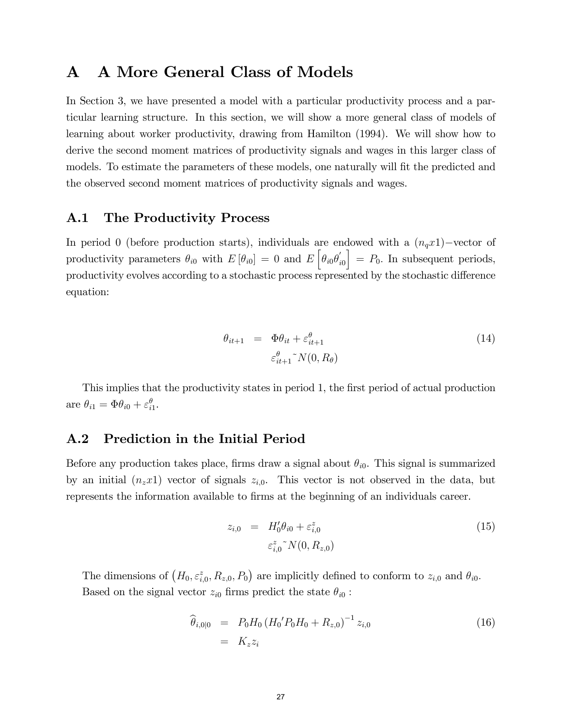## A A More General Class of Models

In Section 3, we have presented a model with a particular productivity process and a particular learning structure. In this section, we will show a more general class of models of learning about worker productivity, drawing from Hamilton (1994). We will show how to derive the second moment matrices of productivity signals and wages in this larger class of models. To estimate the parameters of these models, one naturally will fit the predicted and the observed second moment matrices of productivity signals and wages.

## A.1 The Productivity Process

In period 0 (before production starts), individuals are endowed with a  $(n_q x1)$ -vector of productivity parameters  $\theta_{i0}$  with  $E[\theta_{i0}] = 0$  and  $E[\theta_{i0}\theta'_{i0}]$  $\Big] = P_0$ . In subsequent periods, productivity evolves according to a stochastic process represented by the stochastic difference equation:

$$
\theta_{it+1} = \Phi \theta_{it} + \varepsilon_{it+1}^{\theta}
$$
\n
$$
\varepsilon_{it+1}^{\theta} \gamma N(0, R_{\theta})
$$
\n(14)

This implies that the productivity states in period 1, the first period of actual production are  $\theta_{i1} = \Phi \theta_{i0} + \varepsilon_{i1}^{\theta}$ .

## A.2 Prediction in the Initial Period

Before any production takes place, firms draw a signal about  $\theta_{i0}$ . This signal is summarized by an initial  $(n_z x1)$  vector of signals  $z_{i,0}$ . This vector is not observed in the data, but represents the information available to firms at the beginning of an individuals career.

$$
z_{i,0} = H'_0 \theta_{i0} + \varepsilon_{i,0}^z
$$
  

$$
\varepsilon_{i,0}^z N(0, R_{z,0})
$$
 (15)

The dimensions of  $(H_0, \varepsilon_{i,0}^z, R_{z,0}, P_0)$  are implicitly defined to conform to  $z_{i,0}$  and  $\theta_{i0}$ . Based on the signal vector  $z_{i0}$  firms predict the state  $\theta_{i0}$ :

$$
\begin{aligned}\n\widehat{\theta}_{i,0|0} &= P_0 H_0 \left( H_0' P_0 H_0 + R_{z,0} \right)^{-1} z_{i,0} \\
&= K_z z_i\n\end{aligned} \tag{16}
$$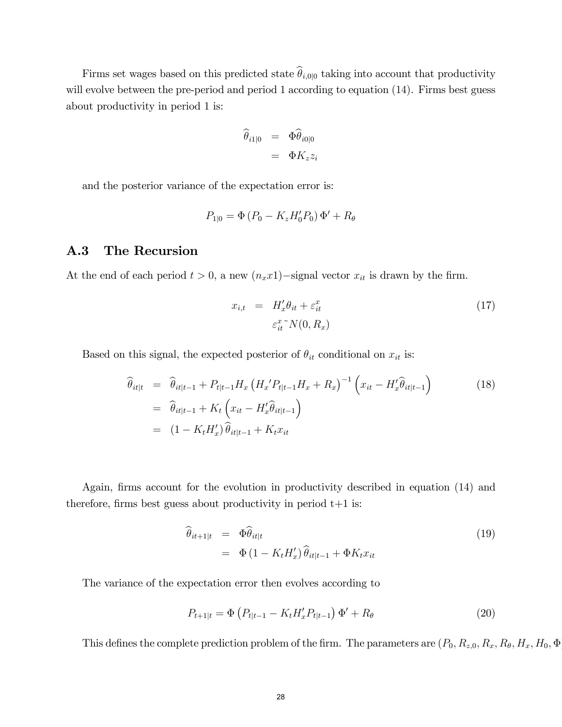Firms set wages based on this predicted state  $\hat{\theta}_{i,0|0}$  taking into account that productivity will evolve between the pre-period and period 1 according to equation  $(14)$ . Firms best guess about productivity in period 1 is:

$$
\widehat{\theta}_{i1|0} = \Phi \widehat{\theta}_{i0|0} \n= \Phi K_z z_i
$$

and the posterior variance of the expectation error is:

$$
P_{1|0} = \Phi (P_0 - K_z H'_0 P_0) \Phi' + R_\theta
$$

#### A.3 The Recursion

At the end of each period  $t > 0$ , a new  $(n_x x_1)$ -signal vector  $x_{it}$  is drawn by the firm.

$$
x_{i,t} = H'_x \theta_{it} + \varepsilon_{it}^x
$$
  

$$
\varepsilon_{it}^x \gamma(0, R_x)
$$
 (17)

Based on this signal, the expected posterior of  $\theta_{it}$  conditional on  $x_{it}$  is:

$$
\begin{aligned}\n\widehat{\theta}_{it|t} &= \widehat{\theta}_{it|t-1} + P_{t|t-1} H_x \left( H_x' P_{t|t-1} H_x + R_x \right)^{-1} \left( x_{it} - H_x' \widehat{\theta}_{it|t-1} \right) \\
&= \widehat{\theta}_{it|t-1} + K_t \left( x_{it} - H_x' \widehat{\theta}_{it|t-1} \right) \\
&= (1 - K_t H_x') \widehat{\theta}_{it|t-1} + K_t x_{it}\n\end{aligned} \tag{18}
$$

Again, firms account for the evolution in productivity described in equation (14) and therefore, firms best guess about productivity in period  $t+1$  is:

$$
\widehat{\theta}_{it+1|t} = \Phi \widehat{\theta}_{it|t} \n= \Phi (1 - K_t H'_x) \widehat{\theta}_{it|t-1} + \Phi K_t x_{it}
$$
\n(19)

The variance of the expectation error then evolves according to

$$
P_{t+1|t} = \Phi \left( P_{t|t-1} - K_t H'_x P_{t|t-1} \right) \Phi' + R_\theta \tag{20}
$$

This defines the complete prediction problem of the firm. The parameters are  $(P_0, R_{z,0}, R_x, R_\theta, H_x, H_0, \Phi)$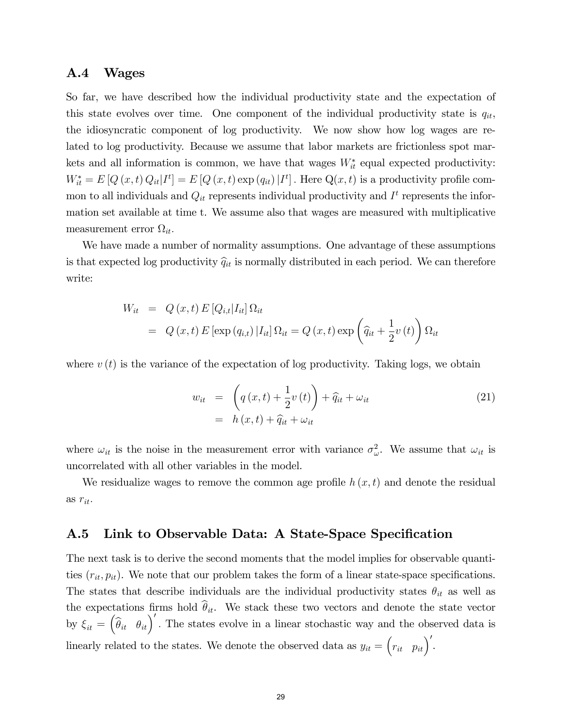#### A.4 Wages

So far, we have described how the individual productivity state and the expectation of this state evolves over time. One component of the individual productivity state is  $q_{it}$ , the idiosyncratic component of log productivity. We now show how log wages are related to log productivity. Because we assume that labor markets are frictionless spot markets and all information is common, we have that wages  $W_{it}^*$  equal expected productivity:  $W_{it}^* = E[Q(x,t) Q_{it} | I^t] = E[Q(x,t) \exp(q_{it}) | I^t]$ . Here  $Q(x,t)$  is a productivity profile common to all individuals and  $Q_{it}$  represents individual productivity and  $I<sup>t</sup>$  represents the information set available at time t. We assume also that wages are measured with multiplicative measurement error  $\Omega_{it}$ .

We have made a number of normality assumptions. One advantage of these assumptions is that expected log productivity  $\hat{q}_{it}$  is normally distributed in each period. We can therefore write:

$$
W_{it} = Q(x, t) E [Q_{i,t} | I_{it}] \Omega_{it}
$$
  
=  $Q(x, t) E [\exp(q_{i,t}) | I_{it}] \Omega_{it} = Q(x, t) \exp \left(\widehat{q}_{it} + \frac{1}{2}v(t)\right) \Omega_{it}$ 

where  $v(t)$  is the variance of the expectation of log productivity. Taking logs, we obtain

$$
w_{it} = \left(q\left(x,t\right) + \frac{1}{2}v\left(t\right)\right) + \widehat{q}_{it} + \omega_{it}
$$
  
=  $h\left(x,t\right) + \widehat{q}_{it} + \omega_{it}$  (21)

where  $\omega_{it}$  is the noise in the measurement error with variance  $\sigma_{\omega}^2$ . We assume that  $\omega_{it}$  is uncorrelated with all other variables in the model.

We residualize wages to remove the common age profile  $h(x, t)$  and denote the residual as  $r_{it}$ .

## A.5 Link to Observable Data: A State-Space Specification

The next task is to derive the second moments that the model implies for observable quantities  $(r_{it}, p_{it})$ . We note that our problem takes the form of a linear state-space specifications. The states that describe individuals are the individual productivity states  $\theta_{it}$  as well as the expectations firms hold  $\hat{\theta}_{it}$ . We stack these two vectors and denote the state vector by  $\xi_{it} = \left(\hat{\theta}_{it} \quad \theta_{it}\right)'$ . The states evolve in a linear stochastic way and the observed data is linearly related to the states. We denote the observed data as  $y_{it} = (r_{it} \ p_{it})'$ .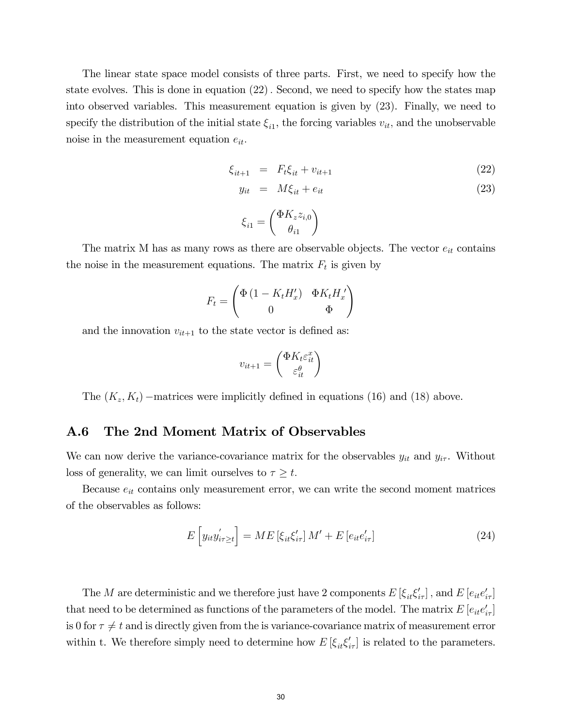The linear state space model consists of three parts. First, we need to specify how the state evolves. This is done in equation  $(22)$ . Second, we need to specify how the states map into observed variables. This measurement equation is given by (23). Finally, we need to specify the distribution of the initial state  $\xi_{i1}$ , the forcing variables  $v_{it}$ , and the unobservable noise in the measurement equation  $e_{it}$ .

$$
\xi_{it+1} = F_t \xi_{it} + v_{it+1} \tag{22}
$$

$$
y_{it} = M\xi_{it} + e_{it} \tag{23}
$$

$$
\xi_{i1} = \begin{pmatrix} \Phi K_z z_{i,0} \\ \theta_{i1} \end{pmatrix}
$$

The matrix M has as many rows as there are observable objects. The vector  $e_{it}$  contains the noise in the measurement equations. The matrix  $F_t$  is given by

$$
F_t = \begin{pmatrix} \Phi (1 - K_t H'_x) & \Phi K_t H'_x \\ 0 & \Phi \end{pmatrix}
$$

and the innovation  $v_{it+1}$  to the state vector is defined as:

$$
v_{it+1} = \begin{pmatrix} \Phi K_t \varepsilon_{it}^x \\ \varepsilon_{it}^\theta \end{pmatrix}
$$

The  $(K_z, K_t)$  –matrices were implicitly defined in equations (16) and (18) above.

#### A.6 The 2nd Moment Matrix of Observables

We can now derive the variance-covariance matrix for the observables  $y_{it}$  and  $y_{i\tau}$ . Without loss of generality, we can limit ourselves to  $\tau \geq t$ .

Because  $e_{it}$  contains only measurement error, we can write the second moment matrices of the observables as follows:

$$
E\left[y_{it}y'_{i\tau\geq t}\right] = ME\left[\xi_{it}\xi'_{i\tau}\right]M' + E\left[e_{it}e'_{i\tau}\right]
$$
\n(24)

The M are deterministic and we therefore just have 2 components  $E[\xi_{it}\xi'_{i\tau}]$ , and  $E[e_{it}e'_{i\tau}]$ that need to be determined as functions of the parameters of the model. The matrix  $E\left[e_{it}e_{i\tau}'\right]$ is 0 for  $\tau \neq t$  and is directly given from the is variance-covariance matrix of measurement error within t. We therefore simply need to determine how  $E\left[\xi_{it}\xi'_{i\tau}\right]$  is related to the parameters.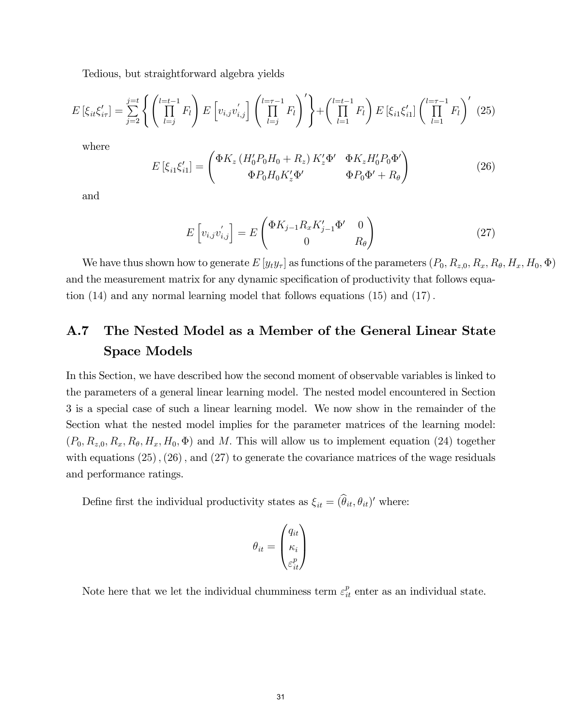Tedious, but straightforward algebra yields

$$
E\left[\xi_{it}\xi'_{i\tau}\right] = \sum_{j=2}^{j=t} \left\{ \left(\prod_{l=j}^{l=t-1} F_l\right) E\left[v_{i,j}v'_{i,j}\right] \left(\prod_{l=j}^{l=\tau-1} F_l\right)' \right\} + \left(\prod_{l=1}^{l=t-1} F_l\right) E\left[\xi_{i1}\xi'_{i1}\right] \left(\prod_{l=1}^{l=\tau-1} F_l\right)' (25)
$$

where

$$
E\left[\xi_{i1}\xi'_{i1}\right] = \begin{pmatrix} \Phi K_z \left(H'_0 P_0 H_0 + R_z\right) K'_z \Phi' & \Phi K_z H'_0 P_0 \Phi' \\ \Phi P_0 H_0 K'_z \Phi' & \Phi P_0 \Phi' + R_\theta \end{pmatrix}
$$
(26)

and

$$
E\left[v_{i,j}v_{i,j}'\right] = E\begin{pmatrix} \Phi K_{j-1}R_x K_{j-1}'\Phi' & 0\\ 0 & R_\theta \end{pmatrix}
$$
 (27)

We have thus shown how to generate  $E[y_t y_\tau]$  as functions of the parameters  $(P_0, R_{z,0}, R_x, R_\theta, H_x, H_0, \Phi)$ and the measurement matrix for any dynamic specification of productivity that follows equation  $(14)$  and any normal learning model that follows equations  $(15)$  and  $(17)$ .

## A.7 The Nested Model as a Member of the General Linear State Space Models

In this Section, we have described how the second moment of observable variables is linked to the parameters of a general linear learning model. The nested model encountered in Section 3 is a special case of such a linear learning model. We now show in the remainder of the Section what the nested model implies for the parameter matrices of the learning model:  $(P_0, R_{z,0}, R_x, R_\theta, H_x, H_0, \Phi)$  and M. This will allow us to implement equation (24) together with equations  $(25)$ ,  $(26)$ , and  $(27)$  to generate the covariance matrices of the wage residuals and performance ratings.

Define first the individual productivity states as  $\xi_{it} = (\theta_{it}, \theta_{it})'$  where:

$$
\theta_{it} = \begin{pmatrix} q_{it} \\ \kappa_i \\ \varepsilon_{it}^p \end{pmatrix}
$$

Note here that we let the individual chumminess term  $\varepsilon_{it}^p$  enter as an individual state.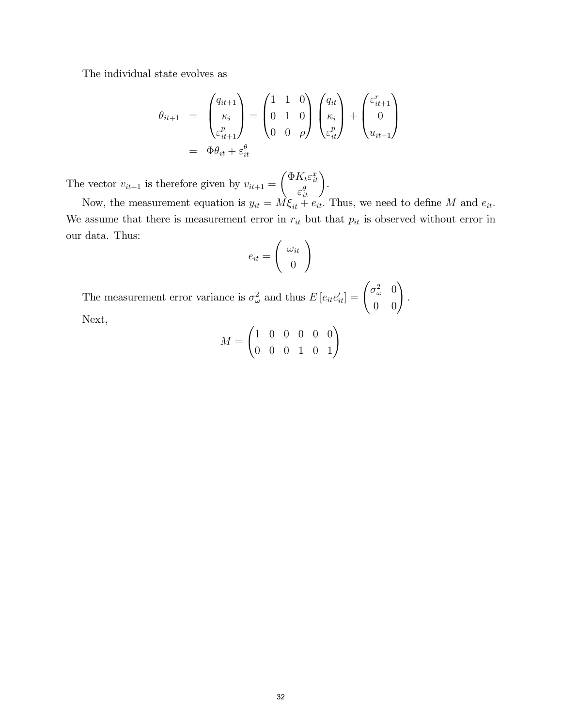The individual state evolves as

$$
\theta_{it+1} = \begin{pmatrix} q_{it+1} \\ \kappa_i \\ \varepsilon_{it+1}^p \end{pmatrix} = \begin{pmatrix} 1 & 1 & 0 \\ 0 & 1 & 0 \\ 0 & 0 & \rho \end{pmatrix} \begin{pmatrix} q_{it} \\ \kappa_i \\ \varepsilon_{it}^p \end{pmatrix} + \begin{pmatrix} \varepsilon_{it+1}^r \\ 0 \\ u_{it+1} \end{pmatrix}
$$

$$
= \Phi \theta_{it} + \varepsilon_{it}^{\theta}
$$

The vector  $v_{it+1}$  is therefore given by  $v_{it+1}$  =  $\int \Phi K_t \varepsilon_{it}^x$  $\left(\begin{array}{c} K_t \varepsilon_{it}^x\\ \varepsilon_{it}^{\theta} \end{array}\right)$ 

Now, the measurement equation is  $y_{it} = M \xi_{it} + e_{it}$ . Thus, we need to define M and  $e_{it}$ . We assume that there is measurement error in  $r_{it}$  but that  $p_{it}$  is observed without error in our data. Thus:

.

$$
e_{it} = \left(\begin{array}{c} \omega_{it} \\ 0 \end{array}\right)
$$

The measurement error variance is  $\sigma_{\omega}^2$  and thus  $E[e_{it}e'_{it}] = \begin{pmatrix} \sigma_{\omega}^2 & 0 \\ 0 & 0 \end{pmatrix}$ : Next,  $\overline{1}$ 

$$
M = \begin{pmatrix} 1 & 0 & 0 & 0 & 0 & 0 \\ 0 & 0 & 0 & 1 & 0 & 1 \end{pmatrix}
$$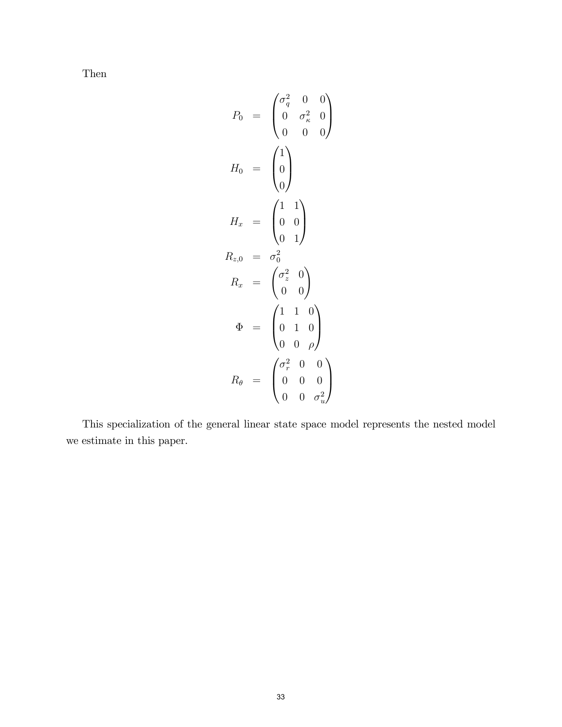Then

$$
P_0 = \begin{pmatrix} \sigma_q^2 & 0 & 0 \\ 0 & \sigma_\kappa^2 & 0 \\ 0 & 0 & 0 \end{pmatrix}
$$

$$
H_0 = \begin{pmatrix} 1 \\ 0 \\ 0 \end{pmatrix}
$$

$$
H_x = \begin{pmatrix} 1 & 1 \\ 0 & 0 \\ 0 & 1 \end{pmatrix}
$$

$$
R_{z,0} = \sigma_0^2
$$

$$
R_x = \begin{pmatrix} \sigma_z^2 & 0 \\ 0 & 0 \end{pmatrix}
$$

$$
\Phi = \begin{pmatrix} 1 & 1 & 0 \\ 0 & 1 & 0 \\ 0 & 0 & \rho \end{pmatrix}
$$

$$
R_\theta = \begin{pmatrix} \sigma_r^2 & 0 & 0 \\ 0 & 0 & 0 \\ 0 & 0 & \sigma_u^2 \end{pmatrix}
$$

This specialization of the general linear state space model represents the nested model we estimate in this paper.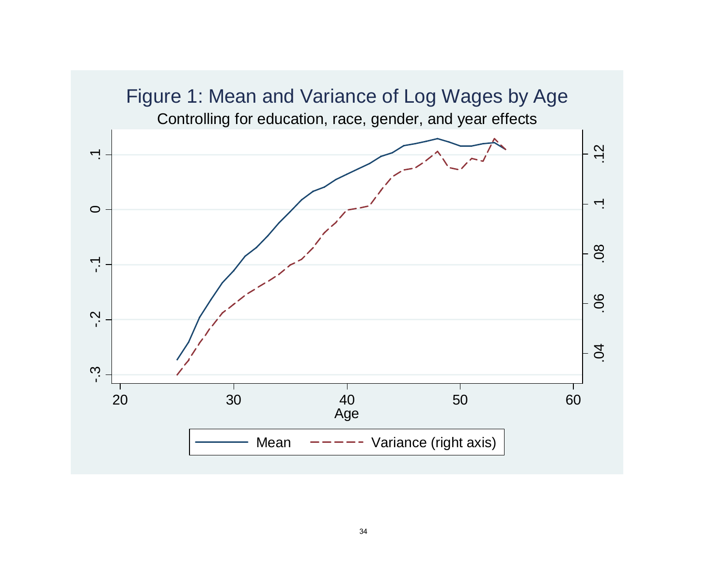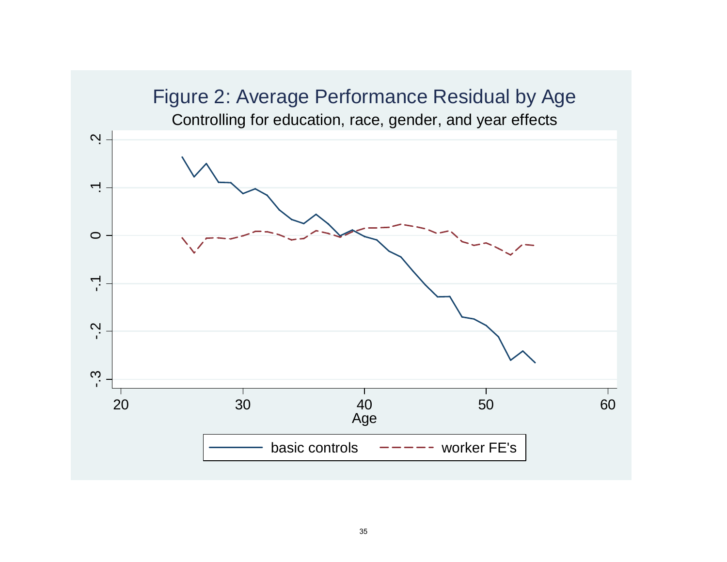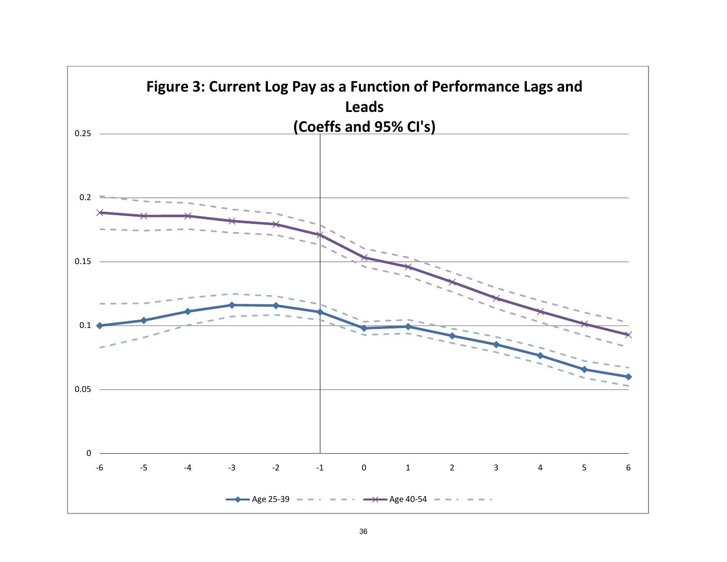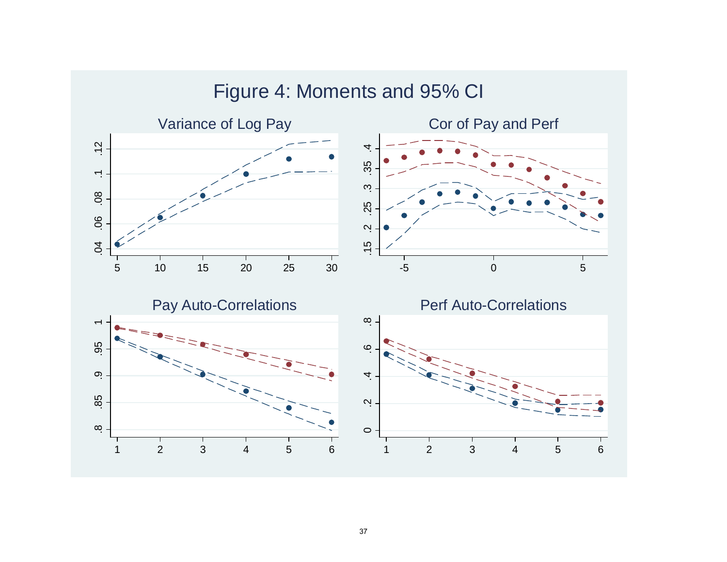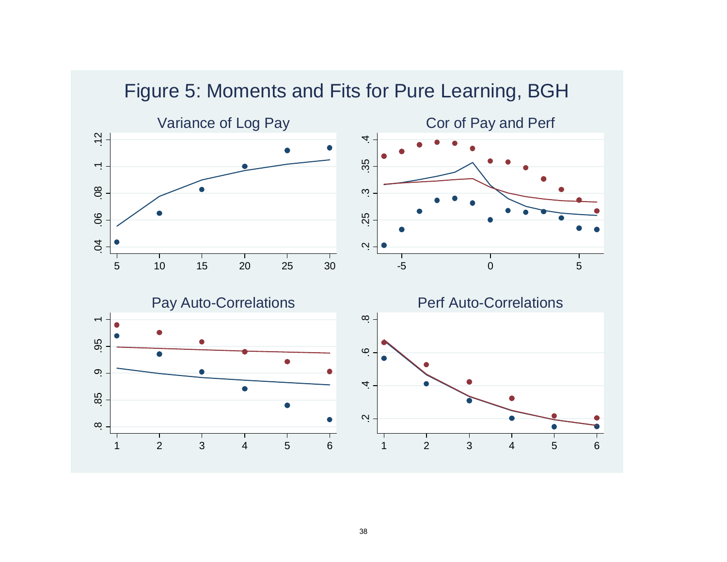

# Figure 5: Moments and Fits for Pure Learning, BGH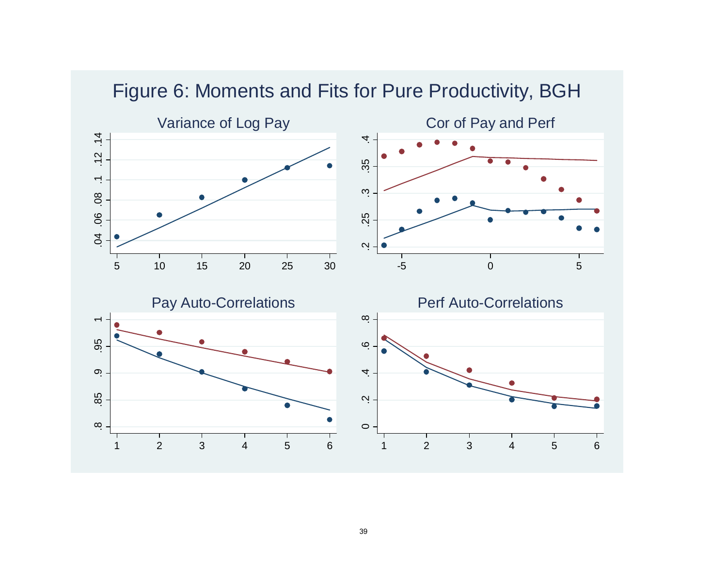

Figure 6: Moments and Fits for Pure Productivity, BGH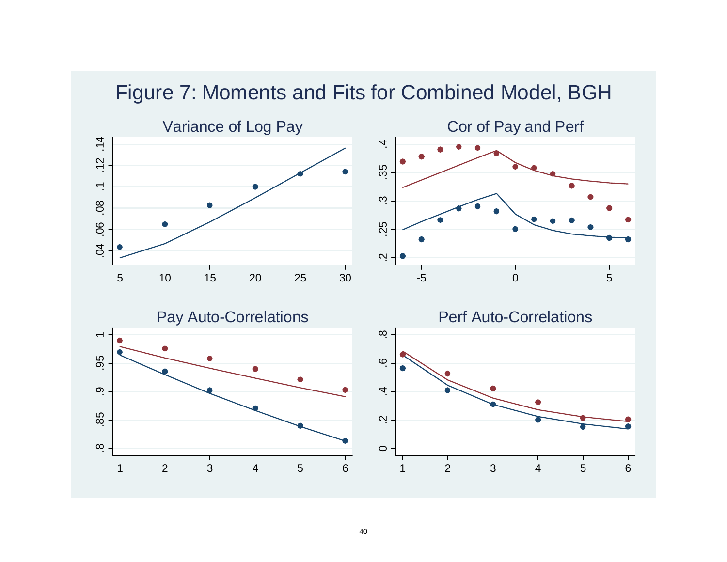

Figure 7: Moments and Fits for Combined Model, BGH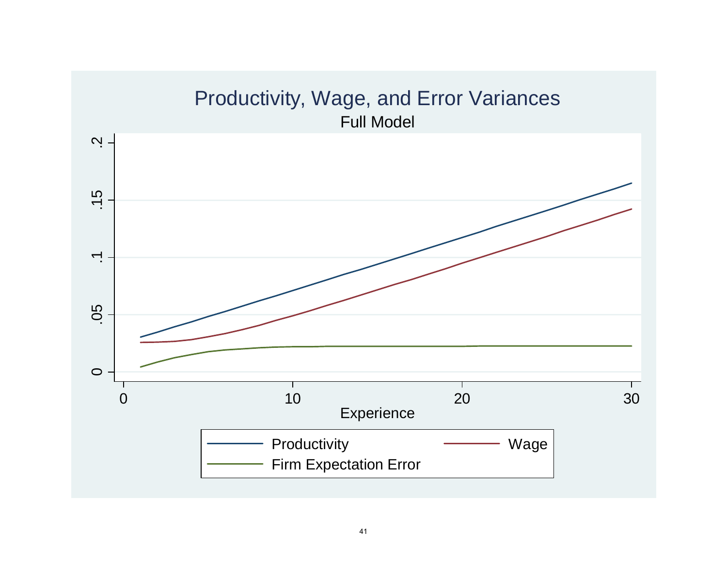# Productivity, Wage, and Error Variances Full Model  $\ddot{N}$ . .05 .1 .15 .2  $-15$  $\overline{\phantom{a}}$ .05  $\circ$  $\overline{\phantom{a}}$  $\mathbf{I}$  $\mathbf{L}$ 0 10 20 30 **Experience** Productivity **Wage** Firm Expectation Error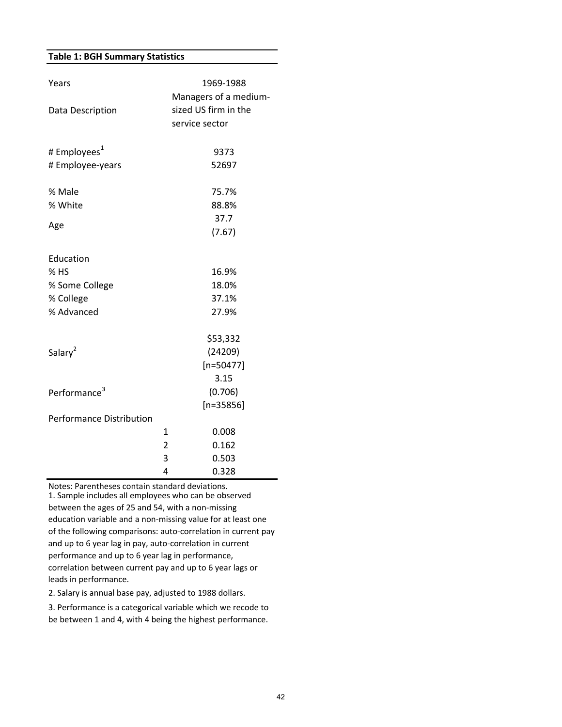#### **Table 1: BGH Summary Statistics**

| Years                           |                      | 1969-1988             |  |
|---------------------------------|----------------------|-----------------------|--|
|                                 |                      | Managers of a medium- |  |
| Data Description                | sized US firm in the |                       |  |
|                                 |                      | service sector        |  |
| # Employees <sup>1</sup>        |                      | 9373                  |  |
| # Employee-years                |                      | 52697                 |  |
| % Male                          |                      | 75.7%                 |  |
| % White                         |                      | 88.8%                 |  |
|                                 |                      | 37.7                  |  |
| Age                             |                      | (7.67)                |  |
| Education                       |                      |                       |  |
| $%$ HS                          |                      | 16.9%                 |  |
| % Some College                  |                      | 18.0%                 |  |
| % College                       |                      | 37.1%                 |  |
| % Advanced                      |                      | 27.9%                 |  |
|                                 |                      | \$53,332              |  |
| Salary <sup>2</sup>             |                      | (24209)               |  |
|                                 |                      | $[n=50477]$           |  |
|                                 |                      | 3.15                  |  |
| Performance <sup>3</sup>        |                      | (0.706)               |  |
|                                 |                      | $[n=35856]$           |  |
| <b>Performance Distribution</b> |                      |                       |  |
|                                 | 1                    | 0.008                 |  |
|                                 | $\overline{2}$       | 0.162                 |  |
|                                 | 3                    | 0.503                 |  |
|                                 | 4                    | 0.328                 |  |

Notes: Parentheses contain standard deviations. 1. Sample includes all employees who can be observed between the ages of 25 and 54, with a non‐missing education variable and a non‐missing value for at least one of the following comparisons: auto‐correlation in current pay and up to 6 year lag in pay, auto‐correlation in current performance and up to 6 year lag in performance, correlation between current pay and up to 6 year lags or leads in performance.

2. Salary is annual base pay, adjusted to 1988 dollars.

3. Performance is a categorical variable which we recode to be between 1 and 4, with 4 being the highest performance.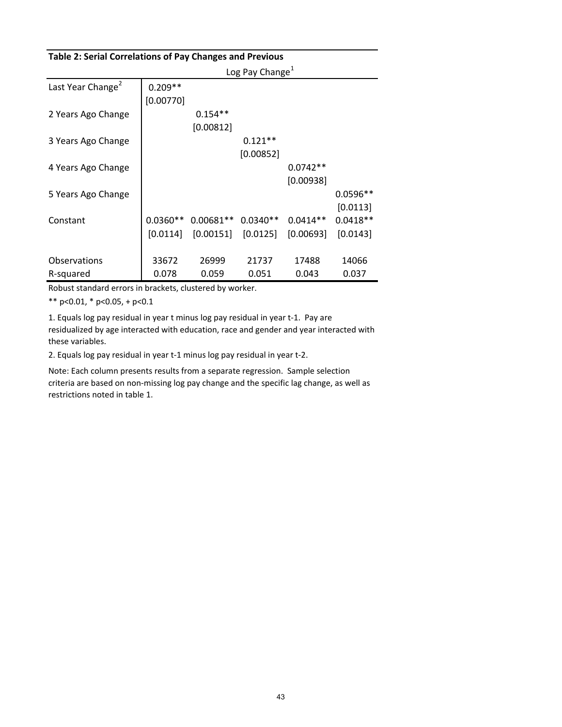| Table 2: Serial Correlations of Pay Changes and Previous |            |             |                             |            |            |
|----------------------------------------------------------|------------|-------------|-----------------------------|------------|------------|
|                                                          |            |             | Log Pay Change <sup>1</sup> |            |            |
| Last Year Change <sup>2</sup>                            | $0.209**$  |             |                             |            |            |
|                                                          | [0.00770]  |             |                             |            |            |
| 2 Years Ago Change                                       |            | $0.154**$   |                             |            |            |
|                                                          |            | [0.00812]   |                             |            |            |
| 3 Years Ago Change                                       |            |             | $0.121**$                   |            |            |
|                                                          |            |             | [0.00852]                   |            |            |
| 4 Years Ago Change                                       |            |             |                             | $0.0742**$ |            |
|                                                          |            |             |                             | [0.00938]  |            |
| 5 Years Ago Change                                       |            |             |                             |            | $0.0596**$ |
|                                                          |            |             |                             |            | [0.0113]   |
| Constant                                                 | $0.0360**$ | $0.00681**$ | $0.0340**$                  | $0.0414**$ | $0.0418**$ |
|                                                          | [0.0114]   | [0.00151]   | [0.0125]                    | [0.00693]  | [0.0143]   |
|                                                          |            |             |                             |            |            |
| Observations                                             | 33672      | 26999       | 21737                       | 17488      | 14066      |
| R-squared                                                | 0.078      | 0.059       | 0.051                       | 0.043      | 0.037      |

Robust standard errors in brackets, clustered by worker.

\*\* p<0.01, \* p<0.05, + p<0.1

1. Equals log pay residual in year t minus log pay residual in year t‐1. Pay are residualized by age interacted with education, race and gender and year interacted with these variables.

2. Equals log pay residual in year t‐1 minus log pay residual in year t‐2.

Note: Each column presents results from a separate regression. Sample selection criteria are based on non‐missing log pay change and the specific lag change, as well as restrictions noted in table 1.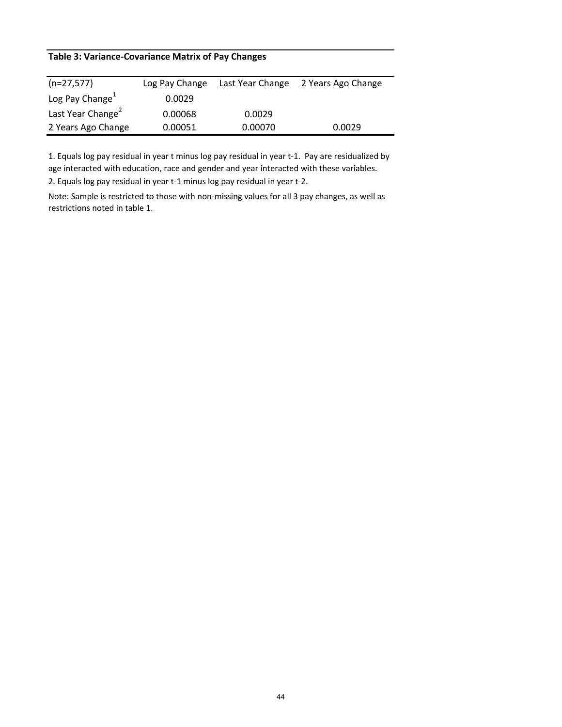## **Table 3: Variance‐Covariance Matrix of Pay Changes**

| $(n=27,577)$                  | Log Pay Change | Last Year Change | 2 Years Ago Change |
|-------------------------------|----------------|------------------|--------------------|
| Log Pay Change                | 0.0029         |                  |                    |
| Last Year Change <sup>2</sup> | 0.00068        | 0.0029           |                    |
| 2 Years Ago Change            | 0.00051        | 0.00070          | 0.0029             |

1. Equals log pay residual in year t minus log pay residual in year t‐1. Pay are residualized by age interacted with education, race and gender and year interacted with these variables.

2. Equals log pay residual in year t‐1 minus log pay residual in year t‐2.

Note: Sample is restricted to those with non‐missing values for all 3 pay changes, as well as restrictions noted in table 1.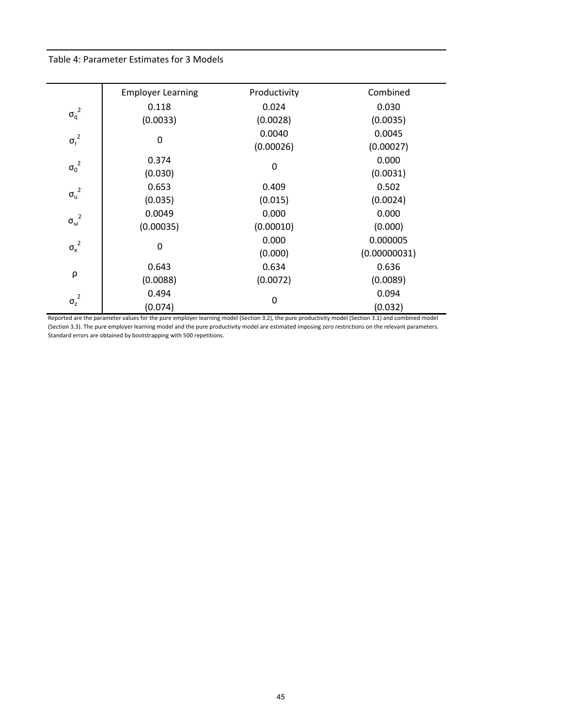#### Table 4: Parameter Estimates for 3 Models

—

|                       | <b>Employer Learning</b> | Productivity | Combined     |
|-----------------------|--------------------------|--------------|--------------|
|                       | 0.118                    | 0.024        | 0.030        |
| ${\sigma_q}^2$        | (0.0033)                 | (0.0028)     | (0.0035)     |
| ${\sigma_r}^2$        | 0                        | 0.0040       | 0.0045       |
|                       |                          | (0.00026)    | (0.00027)    |
| ${\sigma_0}^2$        | 0.374                    |              | 0.000        |
|                       | (0.030)                  | 0            | (0.0031)     |
| $\sigma_u^2$          | 0.653                    | 0.409        | 0.502        |
|                       | (0.035)                  | (0.015)      | (0.0024)     |
| ${\sigma_\omega}^2$   | 0.0049                   | 0.000        | 0.000        |
|                       | (0.00035)                | (0.00010)    | (0.000)      |
| ${\sigma_{\kappa}}^2$ | 0                        | 0.000        | 0.000005     |
|                       |                          | (0.000)      | (0.00000031) |
|                       | 0.643                    | 0.634        | 0.636        |
| ρ                     | (0.0088)                 | (0.0072)     | (0.0089)     |
| ${\sigma_z}^2$        | 0.494                    | 0            | 0.094        |
|                       | (0.074)                  |              | (0.032)      |

Reported are the parameter values for the pure employer learning model (Section 3.2), the pure productivity model (Section 3.1) and combined model (Section 3.3). The pure employer learning model and the pure productivity model are estimated imposing zero restrictions on the relevant parameters. Standard errors are obtained by bootstrapping with 500 repetitions.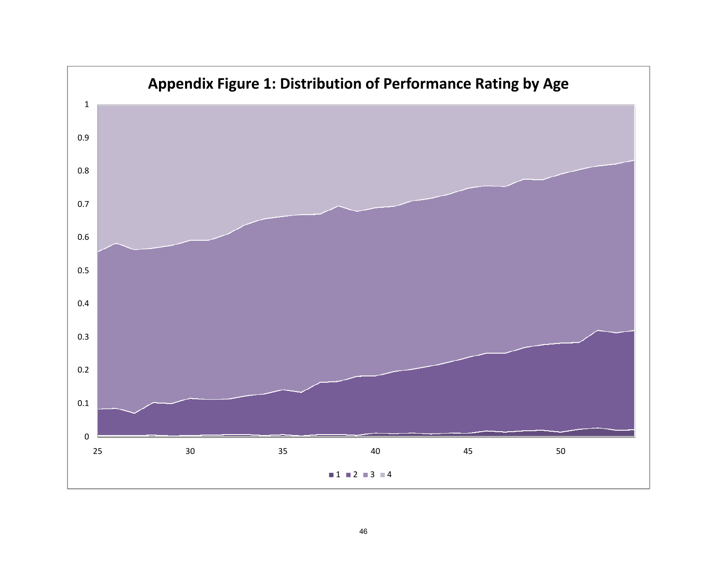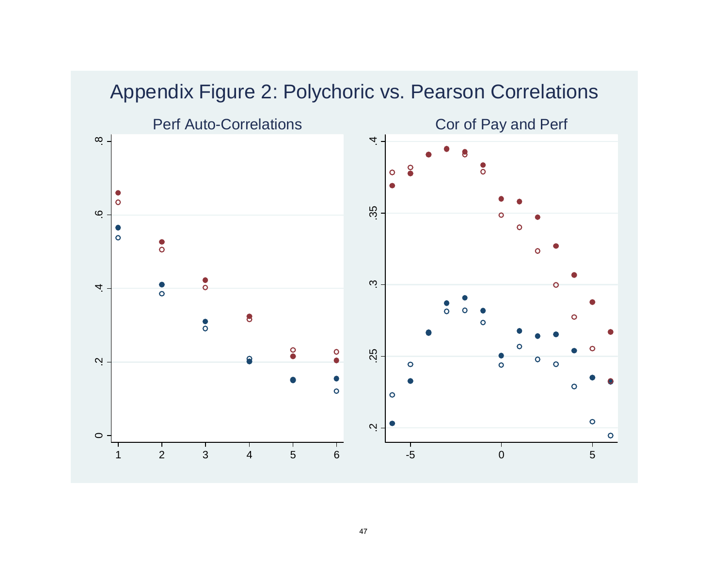

# Appendix Figure 2: Polychoric vs. Pearson Correlations